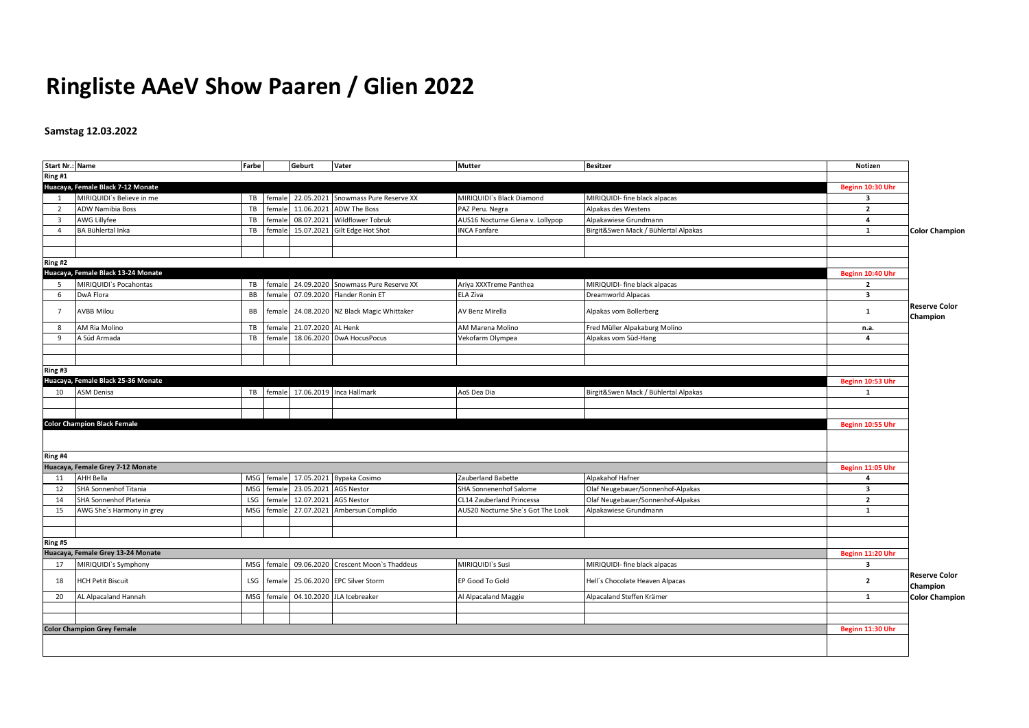# **Ringliste AAeV Show Paaren / Glien 2022**

## **Samstag 12.03.2022**

| <b>Start Nr.: Name</b> |                                    | Farbe      |        | Geburt                    | Vater                                          | <b>Mutter</b>                     | <b>Besitzer</b>                      | Notizen                 |                                  |
|------------------------|------------------------------------|------------|--------|---------------------------|------------------------------------------------|-----------------------------------|--------------------------------------|-------------------------|----------------------------------|
| Ring #1                |                                    |            |        |                           |                                                |                                   |                                      |                         |                                  |
|                        | Huacaya, Female Black 7-12 Monate  |            |        |                           |                                                |                                   |                                      | Beginn 10:30 Uhr        |                                  |
| 1                      | MIRIQUIDI's Believe in me          |            |        |                           | TB female 22.05.2021 Snowmass Pure Reserve XX  | MIRIQUIDI`s Black Diamond         | MIRIQUIDI- fine black alpacas        | $\overline{\mathbf{3}}$ |                                  |
| $\overline{2}$         | ADW Namibia Boss                   | TB         | female |                           | 11.06.2021 ADW The Boss                        | PAZ Peru. Negra                   | Alpakas des Westens                  | $\overline{2}$          |                                  |
| $\overline{3}$         | AWG Lillyfee                       | TB         | female |                           | 08.07.2021 Wildflower Tobruk                   | AUS16 Nocturne Glena v. Lollypop  | Alpakawiese Grundmann                | $\overline{4}$          |                                  |
| $\overline{4}$         | BA Bühlertal Inka                  | TB         |        |                           | female 15.07.2021 Gilt Edge Hot Shot           | <b>INCA Fanfare</b>               | Birgit&Swen Mack / Bühlertal Alpakas | $\mathbf{1}$            | <b>Color Champion</b>            |
|                        |                                    |            |        |                           |                                                |                                   |                                      |                         |                                  |
|                        |                                    |            |        |                           |                                                |                                   |                                      |                         |                                  |
| Ring #2                |                                    |            |        |                           |                                                |                                   |                                      |                         |                                  |
|                        | Huacaya, Female Black 13-24 Monate |            |        |                           |                                                |                                   |                                      | Beginn 10:40 Uhr        |                                  |
| 5                      | MIRIQUIDI's Pocahontas             | TB         |        |                           | female 24.09.2020 Snowmass Pure Reserve XX     | Ariya XXXTreme Panthea            | MIRIQUIDI- fine black alpacas        | $\overline{2}$          |                                  |
| 6                      | DwA Flora                          | BB         |        |                           | female 07.09.2020 Flander Ronin ET             | ELA Ziva                          | Dreamworld Alpacas                   | $\overline{\mathbf{3}}$ |                                  |
| $7^{\circ}$            | <b>AVBB Milou</b>                  | <b>BB</b>  |        |                           | female 24.08.2020 NZ Black Magic Whittaker     | AV Benz Mirella                   | Alpakas vom Bollerberg               | $\mathbf{1}$            | <b>Reserve Color</b><br>Champion |
| 8                      | AM Ria Molino                      | TB         |        | female 21.07.2020 AL Henk |                                                | AM Marena Molino                  | Fred Müller Alpakaburg Molino        | n.a.                    |                                  |
| 9                      | A Süd Armada                       | TB         | female |                           | 18.06.2020 DwA HocusPocus                      | Vekofarm Olympea                  | Alpakas vom Süd-Hang                 | 4                       |                                  |
|                        |                                    |            |        |                           |                                                |                                   |                                      |                         |                                  |
|                        |                                    |            |        |                           |                                                |                                   |                                      |                         |                                  |
| Ring #3                |                                    |            |        |                           |                                                |                                   |                                      |                         |                                  |
|                        | Huacaya, Female Black 25-36 Monate |            |        |                           |                                                |                                   |                                      | Beginn 10:53 Uhr        |                                  |
| 10                     | ASM Denisa                         |            |        |                           | TB female 17.06.2019 Inca Hallmark             | AoS Dea Dia                       | Birgit&Swen Mack / Bühlertal Alpakas | 1                       |                                  |
|                        |                                    |            |        |                           |                                                |                                   |                                      |                         |                                  |
|                        |                                    |            |        |                           |                                                |                                   |                                      |                         |                                  |
|                        | <b>Color Champion Black Female</b> |            |        |                           |                                                |                                   |                                      | Beginn 10:55 Uhr        |                                  |
|                        |                                    |            |        |                           |                                                |                                   |                                      |                         |                                  |
| Ring #4                |                                    |            |        |                           |                                                |                                   |                                      |                         |                                  |
|                        | Huacaya, Female Grey 7-12 Monate   |            |        |                           |                                                |                                   |                                      | Beginn 11:05 Uhr        |                                  |
| 11                     | AHH Bella                          |            |        |                           | MSG female 17.05.2021 Bypaka Cosimo            | Zauberland Babette                | Alpakahof Hafner                     | $\overline{a}$          |                                  |
| 12                     | SHA Sonnenhof Titania              | <b>MSG</b> | female | 23.05.2021 AGS Nestor     |                                                | SHA Sonnenenhof Salome            | Olaf Neugebauer/Sonnenhof-Alpakas    | $\overline{\mathbf{3}}$ |                                  |
| 14                     | SHA Sonnenhof Platenia             | LSG        | female | 12.07.2021                | <b>AGS Nestor</b>                              | CL14 Zauberland Princessa         | Olaf Neugebauer/Sonnenhof-Alpakas    | $\overline{2}$          |                                  |
| 15                     | AWG She's Harmony in grey          | <b>MSG</b> |        |                           | female 27.07.2021 Ambersun Complido            | AUS20 Nocturne She's Got The Look | Alpakawiese Grundmann                | 1                       |                                  |
|                        |                                    |            |        |                           |                                                |                                   |                                      |                         |                                  |
|                        |                                    |            |        |                           |                                                |                                   |                                      |                         |                                  |
| Ring #5                |                                    |            |        |                           |                                                |                                   |                                      |                         |                                  |
|                        | Huacaya, Female Grey 13-24 Monate  |            |        |                           |                                                |                                   |                                      | Beginn 11:20 Uhr        |                                  |
| 17                     | MIRIQUIDI's Symphony               |            |        |                           | MSG female 09.06.2020 Crescent Moon's Thaddeus | MIRIQUIDI's Susi                  | MIRIQUIDI- fine black alpacas        | $\overline{\mathbf{3}}$ |                                  |
| 18                     | <b>HCH Petit Biscuit</b>           | LSG        |        |                           | female 25.06.2020 EPC Silver Storm             | EP Good To Gold                   | Hell's Chocolate Heaven Alpacas      | $\overline{2}$          | <b>Reserve Color</b><br>Champion |
| 20                     | AL Alpacaland Hannah               |            |        |                           | MSG female 04.10.2020 JLA Icebreaker           | Al Alpacaland Maggie              | Alpacaland Steffen Krämer            | 1                       | <b>Color Champion</b>            |
|                        |                                    |            |        |                           |                                                |                                   |                                      |                         |                                  |
|                        |                                    |            |        |                           |                                                |                                   |                                      |                         |                                  |
|                        | <b>Color Champion Grey Female</b>  |            |        |                           |                                                |                                   |                                      | Beginn 11:30 Uhr        |                                  |
|                        |                                    |            |        |                           |                                                |                                   |                                      |                         |                                  |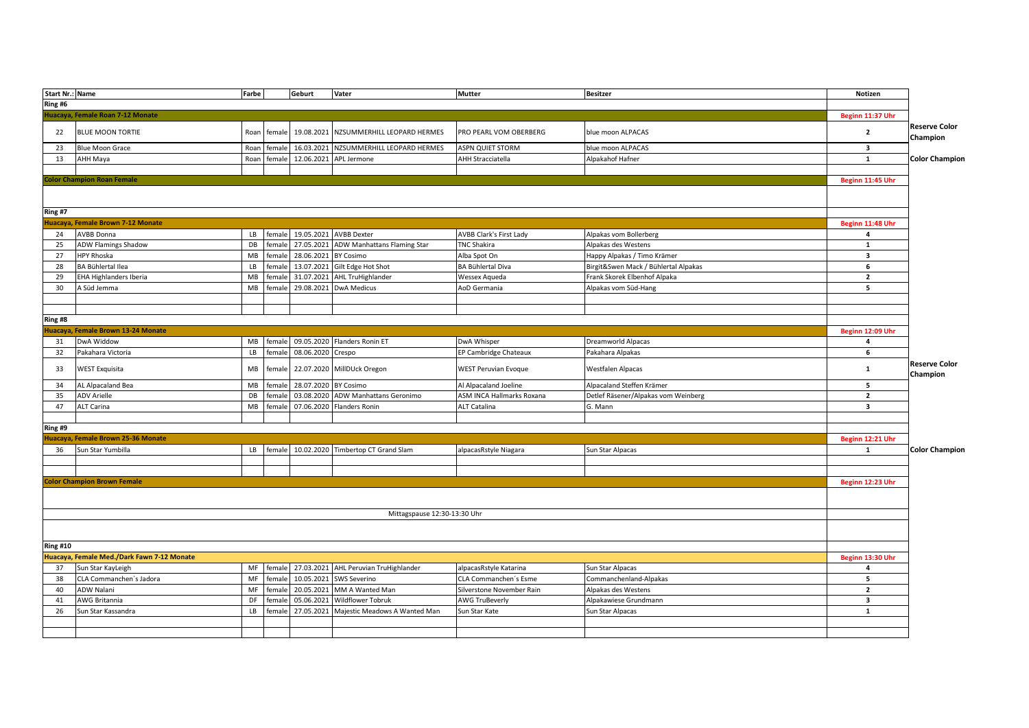| <b>Start Nr.: Name</b> |                                            | Farbe |             | Geburt               | Vater                                           | Mutter                         | <b>Besitzer</b>                      | Notizen                 |                                  |
|------------------------|--------------------------------------------|-------|-------------|----------------------|-------------------------------------------------|--------------------------------|--------------------------------------|-------------------------|----------------------------------|
| Ring #6                |                                            |       |             |                      |                                                 |                                |                                      |                         |                                  |
|                        | Huacaya, Female Roan 7-12 Monate           |       |             |                      |                                                 |                                |                                      | Beginn 11:37 Uhr        |                                  |
| 22                     | <b>BLUE MOON TORTIE</b>                    |       | Roan female | 19.08.2021           | NZSUMMERHILL LEOPARD HERMES                     | PRO PEARL VOM OBERBERG         | blue moon ALPACAS                    | $\overline{2}$          | <b>Reserve Color</b><br>Champion |
| 23                     | <b>Blue Moon Grace</b>                     | Roan  | female      | 16.03.2021           | NZSUMMERHILL LEOPARD HERMES                     | ASPN QUIET STORM               | blue moon ALPACAS                    | $\overline{\mathbf{3}}$ |                                  |
| 13                     | AHH Maya                                   | Roan  | female      | 12.06.2021           | APL Jermone                                     | <b>AHH Stracciatella</b>       | Alpakahof Hafner                     | $\mathbf{1}$            | <b>Color Champion</b>            |
|                        |                                            |       |             |                      |                                                 |                                |                                      |                         |                                  |
|                        | <b>Color Champion Roan Female</b>          |       |             |                      |                                                 |                                |                                      | Beginn 11:45 Uhr        |                                  |
|                        |                                            |       |             |                      |                                                 |                                |                                      |                         |                                  |
| Ring #7                |                                            |       |             |                      |                                                 |                                |                                      |                         |                                  |
|                        | Huacaya, Female Brown 7-12 Monate          |       |             |                      |                                                 |                                |                                      | Beginn 11:48 Uhr        |                                  |
| 24                     | AVBB Donna                                 | LB    | female      |                      | 19.05.2021 AVBB Dexter                          | <b>AVBB Clark's First Lady</b> | Alpakas vom Bollerberg               | 4                       |                                  |
| 25                     | <b>ADW Flamings Shadow</b>                 | DB    | female      |                      | 27.05.2021 ADW Manhattans Flaming Star          | <b>TNC Shakira</b>             | Alpakas des Westens                  | $\mathbf{1}$            |                                  |
| 27                     | <b>HPY Rhoska</b>                          | MB    | female      | 28.06.2021           | <b>BY Cosimo</b>                                | Alba Spot On                   | Happy Alpakas / Timo Krämer          | $\overline{\mathbf{3}}$ |                                  |
| 28                     | BA Bühlertal Ilea                          | LB    | female      |                      | 13.07.2021 Gilt Edge Hot Shot                   | BA Bühlertal Diva              | Birgit&Swen Mack / Bühlertal Alpakas | 6                       |                                  |
| 29                     | EHA Highlanders Iberia                     | MB    | female      | 31.07.2021           | <b>AHL TruHighlander</b>                        | Wessex Aqueda                  | Frank Skorek Elbenhof Alpaka         | $\overline{2}$          |                                  |
| 30                     | A Süd Jemma                                | MB    | female      | 29.08.2021           | <b>DwA Medicus</b>                              | AoD Germania                   | Alpakas vom Süd-Hang                 | 5                       |                                  |
|                        |                                            |       |             |                      |                                                 |                                |                                      |                         |                                  |
|                        |                                            |       |             |                      |                                                 |                                |                                      |                         |                                  |
| Ring #8                |                                            |       |             |                      |                                                 |                                |                                      |                         |                                  |
| Huacaya,               | Female Brown 13-24 Monate                  |       |             |                      |                                                 |                                |                                      | Beginn 12:09 Uhr        |                                  |
| 31                     | DwA Widdow                                 | MB    | female      |                      | 09.05.2020 Flanders Ronin ET                    | DwA Whisper                    | Dreamworld Alpacas                   | $\overline{\mathbf{4}}$ |                                  |
| 32                     | Pakahara Victoria                          | LB    | female      | 08.06.2020 Crespo    |                                                 | EP Cambridge Chateaux          | Pakahara Alpakas                     | 6                       |                                  |
| 33                     | <b>WEST Exquisita</b>                      | MB    | female      |                      | 22.07.2020 MillDUck Oregon                      | <b>WEST Peruvian Evoque</b>    | <b>Westfalen Alpacas</b>             | $\mathbf 1$             | <b>Reserve Color</b><br>Champion |
| 34                     | AL Alpacaland Bea                          | MB    | female      | 28.07.2020 BY Cosimo |                                                 | Al Alpacaland Joeline          | Alpacaland Steffen Krämer            | 5                       |                                  |
| 35                     | <b>ADV Arielle</b>                         | DB    | female      |                      | 03.08.2020 ADW Manhattans Geronimo              | ASM INCA Hallmarks Roxana      | Detlef Räsener/Alpakas vom Weinberg  | $\overline{2}$          |                                  |
| 47                     | <b>ALT Carina</b>                          | MB    | female      |                      | 07.06.2020 Flanders Ronin                       | ALT Catalina                   | G. Mann                              | $\overline{\mathbf{3}}$ |                                  |
|                        |                                            |       |             |                      |                                                 |                                |                                      |                         |                                  |
| Ring #9                |                                            |       |             |                      |                                                 |                                |                                      |                         |                                  |
| Huacaya,               | <b>Female Brown 25-36 Monate</b>           |       |             |                      |                                                 |                                |                                      | Beginn 12:21 Uhr        |                                  |
| 36                     | Sun Star Yumbilla                          | LB    | female      |                      | 10.02.2020 Timbertop CT Grand Slam              | alpacasRstyle Niagara          | Sun Star Alpacas                     | 1                       | <b>Color Champion</b>            |
|                        |                                            |       |             |                      |                                                 |                                |                                      |                         |                                  |
|                        |                                            |       |             |                      |                                                 |                                |                                      |                         |                                  |
|                        | <b>Color Champion Brown Female</b>         |       |             |                      |                                                 |                                |                                      | Beginn 12:23 Uhr        |                                  |
|                        |                                            |       |             |                      |                                                 |                                |                                      |                         |                                  |
|                        |                                            |       |             |                      |                                                 |                                |                                      |                         |                                  |
|                        |                                            |       |             |                      | Mittagspause 12:30-13:30 Uhr                    |                                |                                      |                         |                                  |
|                        |                                            |       |             |                      |                                                 |                                |                                      |                         |                                  |
|                        |                                            |       |             |                      |                                                 |                                |                                      |                         |                                  |
| <b>Ring #10</b>        |                                            |       |             |                      |                                                 |                                |                                      |                         |                                  |
|                        | Huacaya, Female Med./Dark Fawn 7-12 Monate |       |             |                      |                                                 |                                |                                      | Beginn 13:30 Uhr        |                                  |
| 37                     | Sun Star KayLeigh                          | MF    | female      |                      | 27.03.2021 AHL Peruvian TruHighlander           | alpacasRstyle Katarina         | Sun Star Alpacas                     | $\overline{4}$          |                                  |
| 38                     | CLA Commanchen's Jadora                    | MF    | female      | 10.05.2021           | SWS Severino                                    | CLA Commanchen's Esme          | Commanchenland-Alpakas               | 5                       |                                  |
| 40                     | ADW Nalani                                 | MF    | female      | 20.05.2021           | MM A Wanted Man                                 | Silverstone November Rain      | Alpakas des Westens                  | $\overline{2}$          |                                  |
| 41                     | <b>AWG Britannia</b>                       | DF    | female      | 05.06.2021           | <b>Wildflower Tobruk</b>                        | <b>AWG TruBeverly</b>          | Alpakawiese Grundmann                | $\overline{\mathbf{3}}$ |                                  |
| 26                     | Sun Star Kassandra                         | LB    |             |                      | female 27.05.2021 Majestic Meadows A Wanted Man | Sun Star Kate                  | Sun Star Alpacas                     | $\mathbf{1}$            |                                  |
|                        |                                            |       |             |                      |                                                 |                                |                                      |                         |                                  |
|                        |                                            |       |             |                      |                                                 |                                |                                      |                         |                                  |
|                        |                                            |       |             |                      |                                                 |                                |                                      |                         |                                  |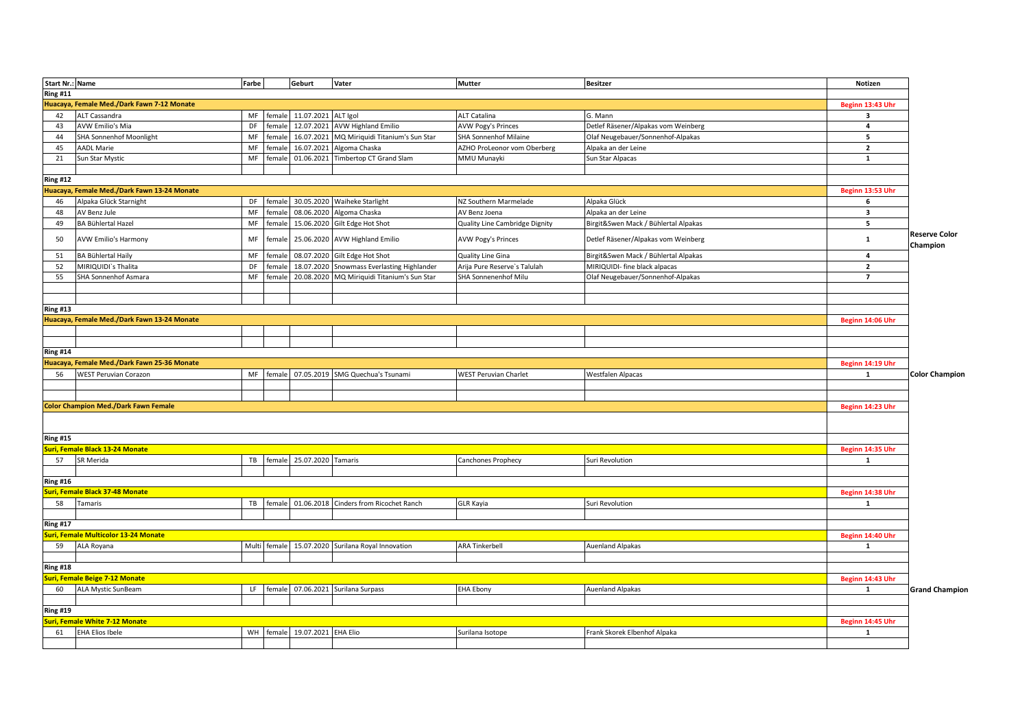| <b>Start Nr.: Name</b> |                                             | Farbe |        | Geburt                            | Vater                                             | Mutter                         | <b>Besitzer</b>                      | Notizen                 |                                  |
|------------------------|---------------------------------------------|-------|--------|-----------------------------------|---------------------------------------------------|--------------------------------|--------------------------------------|-------------------------|----------------------------------|
| <b>Ring #11</b>        |                                             |       |        |                                   |                                                   |                                |                                      |                         |                                  |
|                        | Huacaya, Female Med./Dark Fawn 7-12 Monate  |       |        |                                   |                                                   |                                |                                      | Beginn 13:43 Uhr        |                                  |
| 42                     | ALT Cassandra                               | MF    |        | female 11.07.2021                 | ALT Igol                                          | ALT Catalina                   | G. Mann                              | $\overline{\mathbf{3}}$ |                                  |
| 43                     | AVW Emilio's Mia                            | DF    | female | 12.07.2021                        | <b>AVW Highland Emilio</b>                        | AVW Pogy's Princes             | Detlef Räsener/Alpakas vom Weinberg  | $\overline{a}$          |                                  |
| 44                     | <b>SHA Sonnenhof Moonlight</b>              | MF    | female | 16.07.2021                        | MQ Miriquidi Titanium's Sun Star                  | <b>SHA Sonnenhof Milaine</b>   | Olaf Neugebauer/Sonnenhof-Alpakas    | 5                       |                                  |
| 45                     | <b>AADL Marie</b>                           | MF    | female | 16.07.2021                        | Algoma Chaska                                     | AZHO ProLeonor vom Oberberg    | Alpaka an der Leine                  | $\overline{2}$          |                                  |
| 21                     | Sun Star Mystic                             | MF    | female | 01.06.2021                        | Timbertop CT Grand Slam                           | MMU Munayki                    | Sun Star Alpacas                     | 1                       |                                  |
|                        |                                             |       |        |                                   |                                                   |                                |                                      |                         |                                  |
| <b>Ring #12</b>        |                                             |       |        |                                   |                                                   |                                |                                      |                         |                                  |
|                        | Huacaya, Female Med./Dark Fawn 13-24 Monate |       |        |                                   |                                                   |                                |                                      | Beginn 13:53 Uhr        |                                  |
| 46                     | Alpaka Glück Starnight                      | DF    | female |                                   | 30.05.2020 Waiheke Starlight                      | NZ Southern Marmelade          | Alpaka Glück                         | 6                       |                                  |
| 48                     | AV Benz Jule                                | MF    | female |                                   | 08.06.2020 Algoma Chaska                          | AV Benz Joena                  | Alpaka an der Leine                  | $\overline{\mathbf{3}}$ |                                  |
| 49                     | BA Bühlertal Hazel                          | MF    | female |                                   | 15.06.2020 Gilt Edge Hot Shot                     | Quality Line Cambridge Dignity | Birgit&Swen Mack / Bühlertal Alpakas | 5                       |                                  |
| 50                     | AVW Emilio's Harmony                        | MF    | female |                                   | 25.06.2020 AVW Highland Emilio                    | AVW Pogy's Princes             | Detlef Räsener/Alpakas vom Weinberg  | $\mathbf{1}$            | <b>Reserve Color</b><br>Champion |
| 51                     | BA Bühlertal Haily                          | MF    | female |                                   | 08.07.2020 Gilt Edge Hot Shot                     | Quality Line Gina              | Birgit&Swen Mack / Bühlertal Alpakas | $\overline{a}$          |                                  |
| 52                     | MIRIQUIDI`s Thalita                         | DF    | female |                                   | 18.07.2020 Snowmass Everlasting Highlander        | Arija Pure Reserve's Talulah   | MIRIQUIDI- fine black alpacas        | $\overline{2}$          |                                  |
| 55                     | SHA Sonnenhof Asmara                        | MF    | female | 20.08.2020                        | MQ Miriquidi Titanium's Sun Star                  | SHA Sonnenenhof Milu           | Olaf Neugebauer/Sonnenhof-Alpakas    | $\overline{7}$          |                                  |
|                        |                                             |       |        |                                   |                                                   |                                |                                      |                         |                                  |
|                        |                                             |       |        |                                   |                                                   |                                |                                      |                         |                                  |
| <b>Ring #13</b>        |                                             |       |        |                                   |                                                   |                                |                                      |                         |                                  |
|                        | Huacaya, Female Med./Dark Fawn 13-24 Monate |       |        |                                   |                                                   |                                |                                      | Beginn 14:06 Uhr        |                                  |
|                        |                                             |       |        |                                   |                                                   |                                |                                      |                         |                                  |
|                        |                                             |       |        |                                   |                                                   |                                |                                      |                         |                                  |
| <b>Ring #14</b>        |                                             |       |        |                                   |                                                   |                                |                                      |                         |                                  |
|                        | Huacaya, Female Med./Dark Fawn 25-36 Monate |       |        |                                   |                                                   |                                |                                      | Beginn 14:19 Uhr        |                                  |
| 56                     | <b>WEST Peruvian Corazon</b>                | MF    | female |                                   | 07.05.2019 SMG Quechua's Tsunami                  | <b>WEST Peruvian Charlet</b>   | <b>Westfalen Alpacas</b>             | 1                       | <b>Color Champion</b>            |
|                        |                                             |       |        |                                   |                                                   |                                |                                      |                         |                                  |
|                        |                                             |       |        |                                   |                                                   |                                |                                      |                         |                                  |
|                        | <b>Color Champion Med./Dark Fawn Female</b> |       |        |                                   |                                                   |                                |                                      | Beginn 14:23 Uhr        |                                  |
|                        |                                             |       |        |                                   |                                                   |                                |                                      |                         |                                  |
| <b>Ring #15</b>        |                                             |       |        |                                   |                                                   |                                |                                      |                         |                                  |
|                        | Suri, Female Black 13-24 Monate             |       |        |                                   |                                                   |                                |                                      | Beginn 14:35 Uhr        |                                  |
| 57                     | SR Merida                                   | TB    |        | female 25.07.2020                 | Tamaris                                           | Canchones Prophecy             | Suri Revolution                      | 1                       |                                  |
|                        |                                             |       |        |                                   |                                                   |                                |                                      |                         |                                  |
| <b>Ring #16</b>        |                                             |       |        |                                   |                                                   |                                |                                      |                         |                                  |
|                        | uri, Female Black 37-48 Monate              |       |        |                                   |                                                   |                                |                                      | Beginn 14:38 Uhr        |                                  |
| 58                     | Tamaris                                     | TB    | female |                                   | 01.06.2018 Cinders from Ricochet Ranch            | <b>GLR Kayia</b>               | Suri Revolution                      | 1                       |                                  |
|                        |                                             |       |        |                                   |                                                   |                                |                                      |                         |                                  |
| <b>Ring #17</b>        |                                             |       |        |                                   |                                                   |                                |                                      |                         |                                  |
|                        | Suri, Female Multicolor 13-24 Monate        |       |        |                                   |                                                   |                                |                                      | Beginn 14:40 Uhr        |                                  |
| 59                     | ALA Royana                                  |       |        |                                   | Multi female 15.07.2020 Surilana Royal Innovation | <b>ARA Tinkerbell</b>          | Auenland Alpakas                     | $\mathbf{1}$            |                                  |
|                        |                                             |       |        |                                   |                                                   |                                |                                      |                         |                                  |
| <b>Ring #18</b>        |                                             |       |        |                                   |                                                   |                                |                                      |                         |                                  |
|                        | <b>uri, Female Beige 7-12 Monate</b>        |       |        |                                   |                                                   |                                |                                      | Beginn 14:43 Uhr        |                                  |
| 60                     | <b>ALA Mystic SunBeam</b>                   | LF    |        |                                   | female 07.06.2021 Surilana Surpass                | <b>EHA Ebony</b>               | <b>Auenland Alpakas</b>              | 1                       | <b>Grand Champion</b>            |
|                        |                                             |       |        |                                   |                                                   |                                |                                      |                         |                                  |
| <b>Ring #19</b>        |                                             |       |        |                                   |                                                   |                                |                                      |                         |                                  |
|                        | Suri, Female White 7-12 Monate              |       |        |                                   |                                                   |                                |                                      | Beginn 14:45 Uhr        |                                  |
| 61                     | <b>EHA Elios Ibele</b>                      |       |        | WH   female   19.07.2021 EHA Elio |                                                   | Surilana Isotope               | Frank Skorek Elbenhof Alpaka         | 1                       |                                  |
|                        |                                             |       |        |                                   |                                                   |                                |                                      |                         |                                  |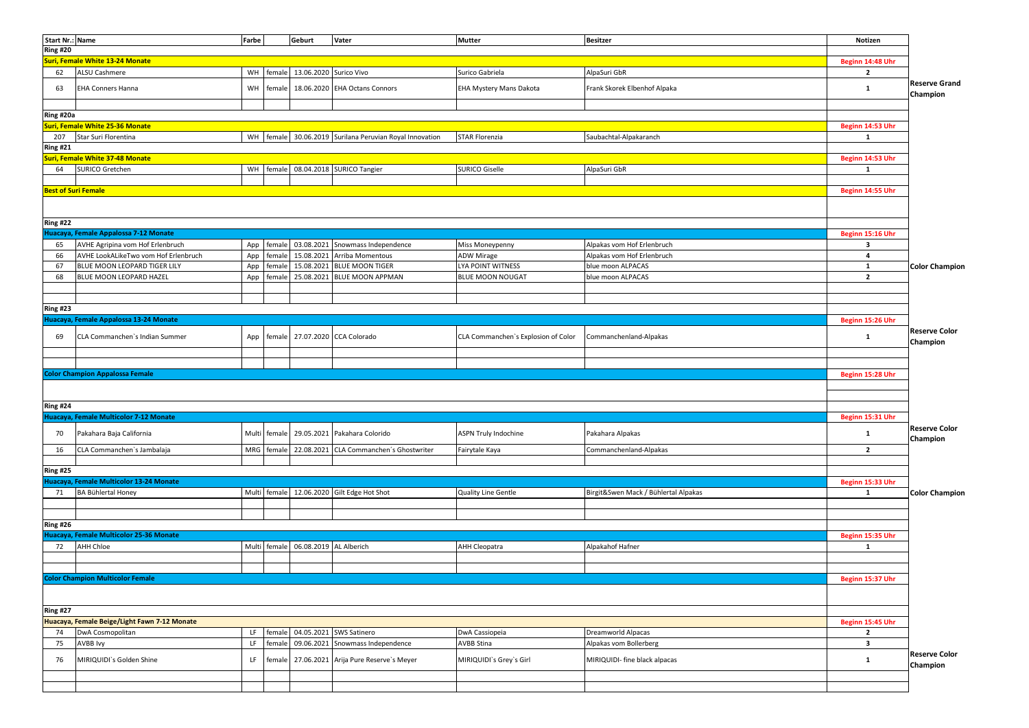|                       | Start Nr.: Name                              | Farbe      |        | Geburt                              | Vater                                                       | <b>Mutter</b>                       | <b>Besitzer</b>                      | Notizen                 |                                               |
|-----------------------|----------------------------------------------|------------|--------|-------------------------------------|-------------------------------------------------------------|-------------------------------------|--------------------------------------|-------------------------|-----------------------------------------------|
| Ring #20              |                                              |            |        |                                     |                                                             |                                     |                                      |                         |                                               |
|                       | <b>Suri, Female White 13-24 Monate</b>       |            |        |                                     |                                                             |                                     |                                      | Beginn 14:48 Uhr        |                                               |
| 62                    | ALSU Cashmere                                | WH         |        | female 13.06.2020 Surico Vivo       |                                                             | Surico Gabriela                     | AlpaSuri GbR                         | $\overline{2}$          |                                               |
| 63                    | EHA Conners Hanna                            | WH         | female |                                     | 18.06.2020 EHA Octans Connors                               | EHA Mystery Mans Dakota             | Frank Skorek Elbenhof Alpaka         | $\mathbf{1}$            | Reserve Grand<br>Champion                     |
|                       |                                              |            |        |                                     |                                                             |                                     |                                      |                         |                                               |
| Ring #20a             |                                              |            |        |                                     |                                                             |                                     |                                      |                         |                                               |
|                       | Suri, Female White 25-36 Monate              |            |        |                                     |                                                             |                                     |                                      | Beginn 14:53 Uhr        |                                               |
| 207                   | Star Suri Florentina                         |            |        |                                     | WH   female 30.06.2019   Surilana Peruvian Royal Innovation | <b>STAR Florenzia</b>               | Saubachtal-Alpakaranch               | 1                       |                                               |
| <b>Ring #21</b>       |                                              |            |        |                                     |                                                             |                                     |                                      |                         |                                               |
|                       | <b>Suri, Female White 37-48 Monate</b>       |            |        |                                     |                                                             |                                     |                                      | Beginn 14:53 Uhr        |                                               |
| 64                    | <b>SURICO Gretchen</b>                       | <b>WH</b>  |        |                                     | female 08.04.2018 SURICO Tangier                            | <b>SURICO Giselle</b>               | AlpaSuri GbR                         | 1                       |                                               |
|                       |                                              |            |        |                                     |                                                             |                                     |                                      |                         |                                               |
|                       | <b>Best of Suri Female</b>                   |            |        |                                     |                                                             |                                     |                                      | Beginn 14:55 Uhr        |                                               |
|                       |                                              |            |        |                                     |                                                             |                                     |                                      |                         |                                               |
|                       |                                              |            |        |                                     |                                                             |                                     |                                      |                         |                                               |
|                       |                                              |            |        |                                     |                                                             |                                     |                                      |                         |                                               |
| Ring #22              |                                              |            |        |                                     |                                                             |                                     |                                      |                         |                                               |
|                       | Huacaya, Female Appalossa 7-12 Monate        |            |        |                                     |                                                             |                                     |                                      | Beginn 15:16 Uhr        |                                               |
| 65                    | AVHE Agripina vom Hof Erlenbruch             | App        | female | 03.08.2021                          | Snowmass Independence                                       | Miss Moneypenny                     | Alpakas vom Hof Erlenbruch           | $\overline{\mathbf{3}}$ |                                               |
| 66                    | AVHE LookALikeTwo vom Hof Erlenbruch         | App        | female | 15.08.2021                          | Arriba Momentous                                            | <b>ADW Mirage</b>                   | Alpakas vom Hof Erlenbruch           | $\overline{\mathbf{4}}$ |                                               |
| 67                    | BLUE MOON LEOPARD TIGER LILY                 | App        | female | 15.08.2021                          | <b>BLUE MOON TIGER</b>                                      | LYA POINT WITNESS                   | blue moon ALPACAS                    | $\mathbf{1}$            | <b>Color Champion</b>                         |
| 68                    | BLUE MOON LEOPARD HAZEL                      | App        |        |                                     | female 25.08.2021 BLUE MOON APPMAN                          | <b>BLUE MOON NOUGAT</b>             | blue moon ALPACAS                    | $\overline{2}$          |                                               |
|                       |                                              |            |        |                                     |                                                             |                                     |                                      |                         |                                               |
|                       |                                              |            |        |                                     |                                                             |                                     |                                      |                         |                                               |
| $\overline{Ring}$ #23 |                                              |            |        |                                     |                                                             |                                     |                                      |                         |                                               |
|                       | Huacaya, Female Appalossa 13-24 Monate       |            |        |                                     |                                                             |                                     |                                      | Beginn 15:26 Uhr        |                                               |
| 69                    | CLA Commanchen's Indian Summer               | App        |        |                                     | female 27.07.2020 CCA Colorado                              | CLA Commanchen's Explosion of Color | Commanchenland-Alpakas               | $\mathbf{1}$            | <b>Reserve Color</b><br><b>Champion</b>       |
|                       |                                              |            |        |                                     |                                                             |                                     |                                      |                         |                                               |
|                       |                                              |            |        |                                     |                                                             |                                     |                                      |                         |                                               |
|                       | <b>Color Champion Appalossa Female</b>       |            |        |                                     |                                                             |                                     |                                      | Beginn 15:28 Uhr        |                                               |
|                       |                                              |            |        |                                     |                                                             |                                     |                                      |                         |                                               |
|                       |                                              |            |        |                                     |                                                             |                                     |                                      |                         |                                               |
|                       |                                              |            |        |                                     |                                                             |                                     |                                      |                         |                                               |
|                       |                                              |            |        |                                     |                                                             |                                     |                                      |                         |                                               |
| $\overline{Ring}$ #24 |                                              |            |        |                                     |                                                             |                                     |                                      |                         |                                               |
|                       | Huacaya, Female Multicolor 7-12 Monate       |            |        |                                     |                                                             |                                     |                                      | Beginn 15:31 Uhr        |                                               |
| 70                    | Pakahara Baja California                     | Multi      | female |                                     | 29.05.2021 Pakahara Colorido                                | ASPN Truly Indochine                | Pakahara Alpakas                     | $\mathbf{1}$            | <b>Reserve Color</b><br>Champion              |
| 16                    | CLA Commanchen's Jambalaja                   | <b>MRG</b> | female | 22.08.2021                          | CLA Commanchen's Ghostwriter                                | Fairytale Kaya                      | Commanchenland-Alpakas               | $\overline{2}$          |                                               |
|                       |                                              |            |        |                                     |                                                             |                                     |                                      |                         |                                               |
| <b>Ring #25</b>       |                                              |            |        |                                     |                                                             |                                     |                                      |                         |                                               |
|                       | Huacaya, Female Multicolor 13-24 Monate      |            |        |                                     |                                                             |                                     |                                      | Beginn 15:33 Uhr        |                                               |
| 71                    | BA Bühlertal Honey                           |            |        |                                     | Multi female 12.06.2020 Gilt Edge Hot Shot                  | Quality Line Gentle                 | Birgit&Swen Mack / Bühlertal Alpakas | $\mathbf{1}$            |                                               |
|                       |                                              |            |        |                                     |                                                             |                                     |                                      |                         |                                               |
|                       |                                              |            |        |                                     |                                                             |                                     |                                      |                         |                                               |
| <b>Ring #26</b>       |                                              |            |        |                                     |                                                             |                                     |                                      |                         |                                               |
|                       | Huacaya, Female Multicolor 25-36 Monate      |            |        |                                     |                                                             |                                     |                                      |                         |                                               |
|                       |                                              |            |        |                                     |                                                             |                                     |                                      | Beginn 15:35 Uhr        |                                               |
| 72                    | AHH Chloe                                    |            |        | Multi female 06.08.2019 AL Alberich |                                                             | <b>AHH Cleopatra</b>                | Alpakahof Hafner                     | $\mathbf{1}$            |                                               |
|                       |                                              |            |        |                                     |                                                             |                                     |                                      |                         |                                               |
|                       |                                              |            |        |                                     |                                                             |                                     |                                      |                         |                                               |
|                       | <b>Color Champion Multicolor Female</b>      |            |        |                                     |                                                             |                                     |                                      | Beginn 15:37 Uhr        |                                               |
|                       |                                              |            |        |                                     |                                                             |                                     |                                      |                         |                                               |
| $\overline{Ring}$ #27 |                                              |            |        |                                     |                                                             |                                     |                                      |                         |                                               |
|                       | Huacaya, Female Beige/Light Fawn 7-12 Monate |            |        |                                     |                                                             |                                     |                                      | Beginn 15:45 Uhr        |                                               |
| 74                    | DwA Cosmopolitan                             | LF.        | female |                                     | 04.05.2021 SWS Satinero                                     | DwA Cassiopeia                      | Dreamworld Alpacas                   | $\overline{2}$          |                                               |
| 75                    | AVBB Ivy                                     | LF         | female | 09.06.2021                          | Snowmass Independence                                       | <b>AVBB Stina</b>                   | Alpakas vom Bollerberg               | $\overline{\mathbf{3}}$ |                                               |
|                       |                                              |            |        |                                     |                                                             |                                     |                                      |                         | <b>Color Champion</b><br><b>Reserve Color</b> |
| 76                    | MIRIQUIDI's Golden Shine                     | LF         | female |                                     | 27.06.2021 Arija Pure Reserve's Meyer                       | MIRIQUIDI's Grey's Girl             | MIRIQUIDI- fine black alpacas        | 1                       | Champion                                      |
|                       |                                              |            |        |                                     |                                                             |                                     |                                      |                         |                                               |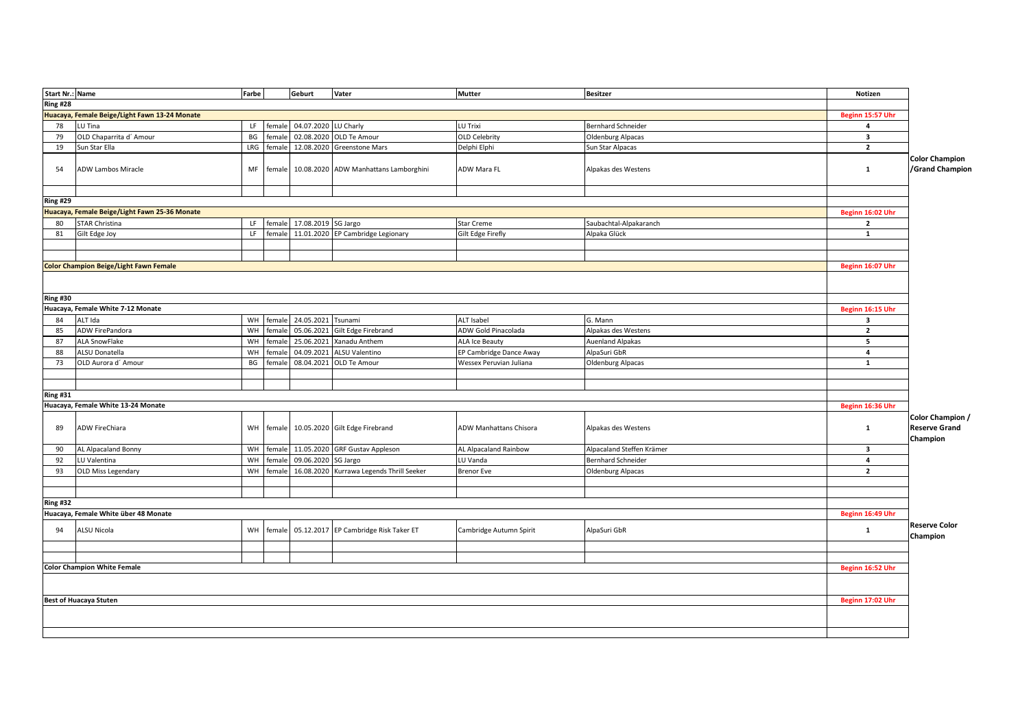| <b>Start Nr.: Name</b> |                                               | Farbe |        | Geburt               | Vater                                    | <b>Mutter</b>           | <b>Besitzer</b>           | Notizen                            |                                                      |
|------------------------|-----------------------------------------------|-------|--------|----------------------|------------------------------------------|-------------------------|---------------------------|------------------------------------|------------------------------------------------------|
| Ring #28               |                                               |       |        |                      |                                          |                         |                           |                                    |                                                      |
|                        | Huacaya, Female Beige/Light Fawn 13-24 Monate |       |        |                      |                                          |                         |                           |                                    |                                                      |
| 78                     | LU Tina                                       | LF.   | female | 04.07.2020 LU Charly |                                          | LU Trixi                | <b>Bernhard Schneider</b> | Beginn 15:57 Uhr<br>$\overline{a}$ |                                                      |
| 79                     | OLD Chaparrita d' Amour                       | BG    | female |                      | 02.08.2020 OLD Te Amour                  | <b>OLD Celebrity</b>    |                           | $\overline{\mathbf{3}}$            |                                                      |
|                        |                                               | LRG   |        |                      | 12.08.2020 Greenstone Mars               |                         | <b>Oldenburg Alpacas</b>  |                                    |                                                      |
| 19                     | Sun Star Ella                                 |       | female |                      |                                          | Delphi Elphi            | Sun Star Alpacas          | $\overline{2}$                     |                                                      |
| 54                     | <b>ADW Lambos Miracle</b>                     | MF    | female |                      | 10.08.2020 ADW Manhattans Lamborghini    | ADW Mara FL             | Alpakas des Westens       | $\mathbf{1}$                       | <b>Color Champion</b><br>/Grand Champion             |
|                        |                                               |       |        |                      |                                          |                         |                           |                                    |                                                      |
| <b>Ring #29</b>        |                                               |       |        |                      |                                          |                         |                           |                                    |                                                      |
|                        | Huacaya, Female Beige/Light Fawn 25-36 Monate |       |        |                      |                                          |                         |                           | Beginn 16:02 Uhr                   |                                                      |
| 80                     | <b>STAR Christina</b>                         | LF.   | female | 17.08.2019 SG Jargo  |                                          | <b>Star Creme</b>       | Saubachtal-Alpakaranch    | $\overline{2}$                     |                                                      |
| 81                     | Gilt Edge Joy                                 | LF.   | female |                      | 11.01.2020 EP Cambridge Legionary        | Gilt Edge Firefly       | Alpaka Glück              | 1                                  |                                                      |
|                        |                                               |       |        |                      |                                          |                         |                           |                                    |                                                      |
|                        |                                               |       |        |                      |                                          |                         |                           |                                    |                                                      |
|                        | <b>Color Champion Beige/Light Fawn Female</b> |       |        |                      |                                          |                         |                           | Beginn 16:07 Uhr                   |                                                      |
|                        |                                               |       |        |                      |                                          |                         |                           |                                    |                                                      |
| <b>Ring #30</b>        |                                               |       |        |                      |                                          |                         |                           |                                    |                                                      |
|                        | Huacaya, Female White 7-12 Monate             |       |        |                      |                                          |                         |                           | Beginn 16:15 Uhr                   |                                                      |
| 84                     | ALT Ida                                       | WH    | female | 24.05.2021 Tsunami   |                                          | <b>ALT Isabel</b>       | G. Mann                   | $\overline{\mathbf{3}}$            |                                                      |
| 85                     | ADW FirePandora                               | WH    | female | 05.06.2021           | Gilt Edge Firebrand                      | ADW Gold Pinacolada     | Alpakas des Westens       | $\overline{2}$                     |                                                      |
| 87                     | <b>ALA SnowFlake</b>                          | WH    | female | 25.06.2021           | Xanadu Anthem                            | <b>ALA Ice Beauty</b>   | <b>Auenland Alpakas</b>   | 5                                  |                                                      |
| 88                     | ALSU Donatella                                | WH    | female | 04.09.2021           | ALSU Valentino                           | EP Cambridge Dance Away | AlpaSuri GbR              | $\overline{a}$                     |                                                      |
| 73                     | OLD Aurora d' Amour                           | BG    | female |                      | 08.04.2021 OLD Te Amour                  | Wessex Peruvian Juliana | Oldenburg Alpacas         | 1                                  |                                                      |
|                        |                                               |       |        |                      |                                          |                         |                           |                                    |                                                      |
|                        |                                               |       |        |                      |                                          |                         |                           |                                    |                                                      |
| Ring #31               |                                               |       |        |                      |                                          |                         |                           |                                    |                                                      |
|                        | Huacaya, Female White 13-24 Monate            |       |        |                      |                                          |                         |                           | Beginn 16:36 Uhr                   |                                                      |
| 89                     | ADW FireChiara                                | WH    | female |                      | 10.05.2020 Gilt Edge Firebrand           | ADW Manhattans Chisora  | Alpakas des Westens       | $\mathbf{1}$                       | Color Champion /<br><b>Reserve Grand</b><br>Champion |
| 90                     | AL Alpacaland Bonny                           | WH    | female |                      | 11.05.2020 GRF Gustav Appleson           | AL Alpacaland Rainbow   | Alpacaland Steffen Krämer | $\overline{\mathbf{3}}$            |                                                      |
| 92                     | LU Valentina                                  | WH    | female | 09.06.2020 SG Jargo  |                                          | U Vanda                 | <b>Bernhard Schneider</b> | $\overline{4}$                     |                                                      |
| 93                     | OLD Miss Legendary                            | WH    | female |                      | 16.08.2020 Kurrawa Legends Thrill Seeker | <b>Brenor Eve</b>       | Oldenburg Alpacas         | $\overline{2}$                     |                                                      |
|                        |                                               |       |        |                      |                                          |                         |                           |                                    |                                                      |
|                        |                                               |       |        |                      |                                          |                         |                           |                                    |                                                      |
| $\overline{Ring}$ #32  |                                               |       |        |                      |                                          |                         |                           |                                    |                                                      |
|                        | Huacaya, Female White über 48 Monate          |       |        |                      |                                          |                         |                           | Beginn 16:49 Uhr                   |                                                      |
| 94                     | ALSU Nicola                                   | WH    | female |                      | 05.12.2017 EP Cambridge Risk Taker ET    | Cambridge Autumn Spirit | AlpaSuri GbR              | $\mathbf{1}$                       | <b>Reserve Color</b><br>Champion                     |
|                        |                                               |       |        |                      |                                          |                         |                           |                                    |                                                      |
|                        |                                               |       |        |                      |                                          |                         |                           |                                    |                                                      |
|                        | <b>Color Champion White Female</b>            |       |        |                      |                                          |                         |                           | Beginn 16:52 Uhr                   |                                                      |
|                        |                                               |       |        |                      |                                          |                         |                           |                                    |                                                      |
|                        | <b>Best of Huacaya Stuten</b>                 |       |        |                      |                                          |                         |                           | Beginn 17:02 Uhr                   |                                                      |
|                        |                                               |       |        |                      |                                          |                         |                           |                                    |                                                      |
|                        |                                               |       |        |                      |                                          |                         |                           |                                    |                                                      |
|                        |                                               |       |        |                      |                                          |                         |                           |                                    |                                                      |
|                        |                                               |       |        |                      |                                          |                         |                           |                                    |                                                      |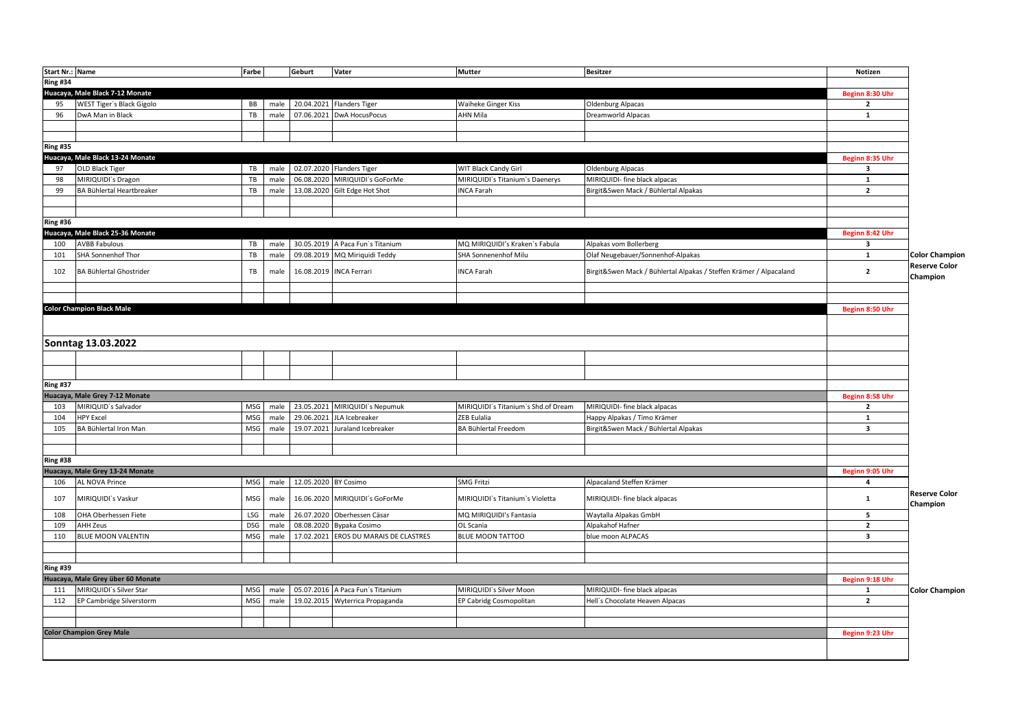| Start Nr.: Name |                                   | Farbe      |      | Geburt               | Vater                                 | <b>Mutter</b>                       | <b>Besitzer</b>                                                    | Notizen                 |                       |
|-----------------|-----------------------------------|------------|------|----------------------|---------------------------------------|-------------------------------------|--------------------------------------------------------------------|-------------------------|-----------------------|
| <b>Ring #34</b> |                                   |            |      |                      |                                       |                                     |                                                                    |                         |                       |
|                 | Huacaya, Male Black 7-12 Monate   |            |      |                      |                                       |                                     |                                                                    | Beginn 8:30 Uhr         |                       |
| 95              | WEST Tiger's Black Gigolo         | <b>BB</b>  | male |                      | 20.04.2021 Flanders Tiger             | Waiheke Ginger Kiss                 | Oldenburg Alpacas                                                  | $\overline{2}$          |                       |
| 96              | DwA Man in Black                  | TB         | male |                      | 07.06.2021 DwA HocusPocus             | AHN Mila                            | Dreamworld Alpacas                                                 | $\mathbf{1}$            |                       |
|                 |                                   |            |      |                      |                                       |                                     |                                                                    |                         |                       |
|                 |                                   |            |      |                      |                                       |                                     |                                                                    |                         |                       |
| <b>Ring #35</b> |                                   |            |      |                      |                                       |                                     |                                                                    |                         |                       |
|                 | Huacaya, Male Black 13-24 Monate  |            |      |                      |                                       |                                     |                                                                    | Beginn 8:35 Uhr         |                       |
| 97              | OLD Black Tiger                   | TB         | male |                      | 02.07.2020 Flanders Tiger             | WIT Black Candy Girl                | Oldenburg Alpacas                                                  | $\overline{\mathbf{3}}$ |                       |
| 98              | MIRIQUIDI's Dragon                | TB         | male |                      | 06.08.2020 MIRIQUIDI's GoForMe        | MIRIQUIDI's Titanium's Daenerys     | MIRIQUIDI- fine black alpacas                                      | $\mathbf 1$             |                       |
| 99              | BA Bühlertal Heartbreaker         | TB         | male |                      | 13.08.2020 Gilt Edge Hot Shot         | <b>INCA Farah</b>                   | Birgit&Swen Mack / Bühlertal Alpakas                               | $\overline{2}$          |                       |
|                 |                                   |            |      |                      |                                       |                                     |                                                                    |                         |                       |
|                 |                                   |            |      |                      |                                       |                                     |                                                                    |                         |                       |
| <b>Ring #36</b> |                                   |            |      |                      |                                       |                                     |                                                                    |                         |                       |
|                 | Huacaya, Male Black 25-36 Monate  |            |      |                      |                                       |                                     |                                                                    | Beginn 8:42 Uhr         |                       |
| 100             | <b>AVBB Fabulous</b>              | TB         | male |                      | 30.05.2019 A Paca Fun's Titanium      | MQ MIRIQUIDI's Kraken's Fabula      | Alpakas vom Bollerberg                                             | 3                       |                       |
| 101             | SHA Sonnenhof Thor                | TB         | male |                      | 09.08.2019 MQ Miriquidi Teddy         | SHA Sonnenenhof Milu                | Olaf Neugebauer/Sonnenhof-Alpakas                                  | $\mathbf{1}$            | <b>Color Champion</b> |
|                 |                                   |            |      |                      |                                       |                                     |                                                                    |                         | <b>Reserve Color</b>  |
| 102             | BA Bühlertal Ghostrider           | TB         | male |                      | 16.08.2019 INCA Ferrari               | <b>INCA Farah</b>                   | Birgit&Swen Mack / Bühlertal Alpakas / Steffen Krämer / Alpacaland | $\overline{2}$          | Champion              |
|                 |                                   |            |      |                      |                                       |                                     |                                                                    |                         |                       |
|                 |                                   |            |      |                      |                                       |                                     |                                                                    |                         |                       |
|                 | <b>Color Champion Black Male</b>  |            |      |                      |                                       |                                     |                                                                    | Beginn 8:50 Uhr         |                       |
|                 |                                   |            |      |                      |                                       |                                     |                                                                    |                         |                       |
|                 |                                   |            |      |                      |                                       |                                     |                                                                    |                         |                       |
|                 | Sonntag 13.03.2022                |            |      |                      |                                       |                                     |                                                                    |                         |                       |
|                 |                                   |            |      |                      |                                       |                                     |                                                                    |                         |                       |
|                 |                                   |            |      |                      |                                       |                                     |                                                                    |                         |                       |
|                 |                                   |            |      |                      |                                       |                                     |                                                                    |                         |                       |
| <b>Ring #37</b> |                                   |            |      |                      |                                       |                                     |                                                                    |                         |                       |
|                 | Huacaya, Male Grey 7-12 Monate    |            |      |                      |                                       |                                     |                                                                    | Beginn 8:58 Uhr         |                       |
| 103             | MIRIQUID's Salvador               | MSG        | male |                      | 23.05.2021 MIRIQUIDI's Nepumuk        | MIRIQUIDI's Titanium's Shd.of Dream | MIRIQUIDI- fine black alpacas                                      | $\overline{2}$          |                       |
| 104             | <b>HPY Excel</b>                  | MSG        | male |                      | 29.06.2021 JLA Icebreaker             | ZEB Eulalia                         | Happy Alpakas / Timo Krämer                                        | $\mathbf{1}$            |                       |
| 105             | BA Bühlertal Iron Man             | MSG        | male |                      | 19.07.2021 Juraland Icebreaker        | BA Bühlertal Freedom                | Birgit&Swen Mack / Bühlertal Alpakas                               | $\overline{\mathbf{3}}$ |                       |
|                 |                                   |            |      |                      |                                       |                                     |                                                                    |                         |                       |
|                 |                                   |            |      |                      |                                       |                                     |                                                                    |                         |                       |
| <b>Ring #38</b> |                                   |            |      |                      |                                       |                                     |                                                                    |                         |                       |
|                 | Huacaya, Male Grey 13-24 Monate   |            |      |                      |                                       |                                     |                                                                    | Beginn 9:05 Uhr         |                       |
| 106             | AL NOVA Prince                    | <b>MSG</b> | male | 12.05.2020 BY Cosimo |                                       | <b>SMG Fritzi</b>                   | Alpacaland Steffen Krämer                                          | $\overline{a}$          |                       |
|                 |                                   |            |      |                      |                                       |                                     |                                                                    |                         | <b>Reserve Color</b>  |
| 107             | MIRIQUIDI's Vaskur                | <b>MSG</b> | male |                      | 16.06.2020 MIRIQUIDI's GoForMe        | MIRIQUIDI's Titanium's Violetta     | MIRIQUIDI- fine black alpacas                                      | $\mathbf{1}$            | Champion              |
| 108             | OHA Oberhessen Fiete              | LSG        | male |                      | 26.07.2020 Oberhessen Cäsar           | MQ MIRIQUIDI's Fantasia             | Waytalla Alpakas GmbH                                              | 5                       |                       |
| 109             | AHH Zeus                          | <b>DSG</b> | male | 08.08.2020           | Bypaka Cosimo                         | OL Scania                           | Alpakahof Hafner                                                   | $\overline{2}$          |                       |
| 110             | BLUE MOON VALENTIN                | MSG        | male |                      | 17.02.2021 EROS DU MARAIS DE CLASTRES | BLUE MOON TATTOO                    | blue moon ALPACAS                                                  | $\overline{\mathbf{3}}$ |                       |
|                 |                                   |            |      |                      |                                       |                                     |                                                                    |                         |                       |
|                 |                                   |            |      |                      |                                       |                                     |                                                                    |                         |                       |
|                 |                                   |            |      |                      |                                       |                                     |                                                                    |                         |                       |
| <b>Ring #39</b> |                                   |            |      |                      |                                       |                                     |                                                                    |                         |                       |
|                 | Huacaya, Male Grey über 60 Monate |            |      |                      |                                       |                                     |                                                                    | Beginn 9:18 Uhr         |                       |
| 111             | MIRIQUIDI's Silver Star           | MSG        | male |                      | 05.07.2016 A Paca Fun's Titanium      | MIRIQUIDI's Silver Moon             | MIRIQUIDI- fine black alpacas                                      | $\mathbf{1}$            | <b>Color Champion</b> |
| 112             | EP Cambridge Silverstorm          | MSG        | male |                      | 19.02.2015 Wyterrica Propaganda       | EP Cabridg Cosmopolitan             | Hell's Chocolate Heaven Alpacas                                    | $\overline{2}$          |                       |
|                 |                                   |            |      |                      |                                       |                                     |                                                                    |                         |                       |
|                 |                                   |            |      |                      |                                       |                                     |                                                                    |                         |                       |
|                 | <b>Color Champion Grey Male</b>   |            |      |                      |                                       |                                     |                                                                    | Beginn 9:23 Uhr         |                       |
|                 |                                   |            |      |                      |                                       |                                     |                                                                    |                         |                       |
|                 |                                   |            |      |                      |                                       |                                     |                                                                    |                         |                       |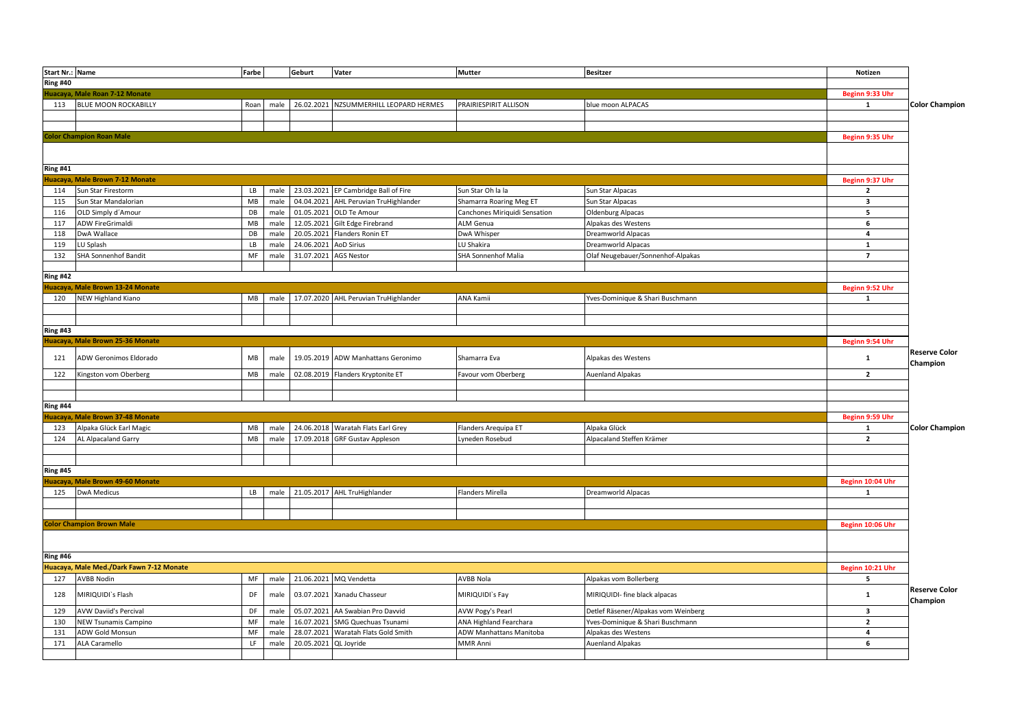| Start Nr.: Name |                                          | Farbe                |              | Geburt                   | Vater                                  | <b>Mutter</b>                       | <b>Besitzer</b>                         | Notizen                                   |                                  |
|-----------------|------------------------------------------|----------------------|--------------|--------------------------|----------------------------------------|-------------------------------------|-----------------------------------------|-------------------------------------------|----------------------------------|
| <b>Ring #40</b> |                                          |                      |              |                          |                                        |                                     |                                         |                                           |                                  |
|                 | Iuacaya, Male Roan 7-12 Monate           |                      |              |                          |                                        |                                     |                                         | Beginn 9:33 Uhr                           |                                  |
| 113             | <b>BLUE MOON ROCKABILLY</b>              | Roan                 | male         |                          | 26.02.2021 NZSUMMERHILL LEOPARD HERMES | PRAIRIESPIRIT ALLISON               | blue moon ALPACAS                       | 1                                         | <b>Color Champion</b>            |
|                 |                                          |                      |              |                          |                                        |                                     |                                         |                                           |                                  |
|                 |                                          |                      |              |                          |                                        |                                     |                                         |                                           |                                  |
|                 | Color Champion Roan Male                 |                      |              |                          |                                        |                                     |                                         | Beginn 9:35 Uhr                           |                                  |
|                 |                                          |                      |              |                          |                                        |                                     |                                         |                                           |                                  |
|                 |                                          |                      |              |                          |                                        |                                     |                                         |                                           |                                  |
| <b>Ring #41</b> |                                          |                      |              |                          |                                        |                                     |                                         |                                           |                                  |
|                 | Iuacaya, Male Brown 7-12 Monate          |                      |              |                          |                                        |                                     |                                         | Beginn 9:37 Uhr                           |                                  |
| 114             | Sun Star Firestorm                       | LB                   | male         |                          | 23.03.2021 EP Cambridge Ball of Fire   | Sun Star Oh la la                   | Sun Star Alpacas                        | $\overline{2}$                            |                                  |
| 115             | Sun Star Mandalorian                     | MB                   | male         | 04.04.2021               | AHL Peruvian TruHighlander             | Shamarra Roaring Meg ET             | Sun Star Alpacas                        | $\overline{\mathbf{3}}$                   |                                  |
| 116             | OLD Simply d'Amour                       | DB                   | male         | 01.05.2021               | OLD Te Amour                           | Canchones Miriquidi Sensation       | Oldenburg Alpacas                       | 5                                         |                                  |
| 117             | ADW FireGrimaldi                         | MB                   | male         | 12.05.2021               | Gilt Edge Firebrand                    | ALM Genua                           | Alpakas des Westens                     | 6                                         |                                  |
| 118             | DwA Wallace                              | DB                   | male         | 20.05.2021               | Flanders Ronin ET                      | DwA Whisper                         | Dreamworld Alpacas                      | $\overline{\mathbf{4}}$                   |                                  |
| 119             | LU Splash                                | LB                   | male         | 24.06.2021               | <b>AoD Sirius</b>                      | LU Shakira                          | Dreamworld Alpacas                      | $\mathbf{1}$                              |                                  |
| 132             | SHA Sonnenhof Bandit                     | $\mathsf{MF}\xspace$ | male         | 31.07.2021               | <b>AGS Nestor</b>                      | SHA Sonnenhof Malia                 | Olaf Neugebauer/Sonnenhof-Alpakas       | $\overline{7}$                            |                                  |
|                 |                                          |                      |              |                          |                                        |                                     |                                         |                                           |                                  |
| <b>Ring #42</b> |                                          |                      |              |                          |                                        |                                     |                                         |                                           |                                  |
|                 | Huacaya, Male Brown 13-24 Monate         |                      |              |                          |                                        |                                     |                                         | Beginn 9:52 Uhr                           |                                  |
| 120             | NEW Highland Kiano                       | MB                   | male         |                          | 17.07.2020 AHL Peruvian TruHighlander  | ANA Kamii                           | Yves-Dominique & Shari Buschmann        | 1                                         |                                  |
|                 |                                          |                      |              |                          |                                        |                                     |                                         |                                           |                                  |
|                 |                                          |                      |              |                          |                                        |                                     |                                         |                                           |                                  |
| <b>Ring #43</b> |                                          |                      |              |                          |                                        |                                     |                                         |                                           |                                  |
|                 | Huacaya, Male Brown 25-36 Monate         |                      |              |                          |                                        |                                     |                                         | Beginn 9:54 Uhr                           |                                  |
| 121             | ADW Geronimos Eldorado                   | MB                   | male         |                          | 19.05.2019 ADW Manhattans Geronimo     | Shamarra Eva                        | Alpakas des Westens                     | $\mathbf{1}$                              | <b>Reserve Color</b><br>Champion |
| 122             | Kingston vom Oberberg                    | MB                   | male         | 02.08.2019               | Flanders Kryptonite ET                 | Favour vom Oberberg                 | <b>Auenland Alpakas</b>                 | $\overline{2}$                            |                                  |
|                 |                                          |                      |              |                          |                                        |                                     |                                         |                                           |                                  |
|                 |                                          |                      |              |                          |                                        |                                     |                                         |                                           |                                  |
| <b>Ring #44</b> |                                          |                      |              |                          |                                        |                                     |                                         |                                           |                                  |
|                 | Huacaya, Male Brown 37-48 Monate         |                      |              |                          |                                        |                                     |                                         | Beginn 9:59 Uhr                           |                                  |
| 123             | Alpaka Glück Earl Magic                  | MB                   | male         |                          | 24.06.2018 Waratah Flats Earl Grey     | Flanders Arequipa ET                | Alpaka Glück                            | 1                                         | <b>Color Champion</b>            |
| 124             | AL Alpacaland Garry                      | MB                   | male         | 17.09.2018               | <b>GRF Gustav Appleson</b>             | yneden Rosebud                      | Alpacaland Steffen Krämer               | $\overline{2}$                            |                                  |
|                 |                                          |                      |              |                          |                                        |                                     |                                         |                                           |                                  |
|                 |                                          |                      |              |                          |                                        |                                     |                                         |                                           |                                  |
| <b>Ring #45</b> |                                          |                      |              |                          |                                        |                                     |                                         |                                           |                                  |
|                 | Huacaya, Male Brown 49-60 Monate         |                      |              |                          |                                        |                                     |                                         | Beginn 10:04 Uhr                          |                                  |
| 125             | <b>DwA Medicus</b>                       | <b>LB</b>            |              |                          | male 21.05.2017 AHL TruHighlander      | Flanders Mirella                    | Dreamworld Alpacas                      | $\mathbf{1}$                              |                                  |
|                 |                                          |                      |              |                          |                                        |                                     |                                         |                                           |                                  |
|                 |                                          |                      |              |                          |                                        |                                     |                                         |                                           |                                  |
|                 | <b>Color Champion Brown Male</b>         |                      |              |                          |                                        |                                     |                                         | Beginn 10:06 Uhr                          |                                  |
|                 |                                          |                      |              |                          |                                        |                                     |                                         |                                           |                                  |
|                 |                                          |                      |              |                          |                                        |                                     |                                         |                                           |                                  |
| <b>Ring #46</b> |                                          |                      |              |                          |                                        |                                     |                                         |                                           |                                  |
|                 | Huacaya, Male Med./Dark Fawn 7-12 Monate |                      |              |                          |                                        |                                     |                                         | Beginn 10:21 Uhr                          |                                  |
| 127             | <b>AVBB Nodin</b>                        | MF                   | male         |                          | 21.06.2021 MQ Vendetta                 | AVBB Nola                           | Alpakas vom Bollerberg                  | 5                                         |                                  |
| 128             | MIRIQUIDI's Flash                        | DF                   | male         |                          | 03.07.2021 Xanadu Chasseur             | MIRIQUIDI`s Fay                     | MIRIQUIDI- fine black alpacas           | 1                                         | <b>Reserve Color</b>             |
|                 |                                          |                      |              |                          |                                        |                                     |                                         |                                           | Champion                         |
| 129             | AVW Daviid's Percival                    | DF                   | male         | 05.07.2021               | AA Swabian Pro Davvid                  | AVW Pogy's Pearl                    | Detlef Räsener/Alpakas vom Weinberg     | 3                                         |                                  |
| 130             | NEW Tsunamis Campino                     | MF<br>MF             | male         | 16.07.2021<br>28.07.2021 | SMG Quechuas Tsunami                   | ANA Highland Fearchara              | Yves-Dominique & Shari Buschmann        | $\overline{\mathbf{2}}$<br>$\overline{4}$ |                                  |
| 131<br>171      | ADW Gold Monsun<br>ALA Caramello         | LF.                  | male<br>male | 20.05.2021 QL Joyride    | Waratah Flats Gold Smith               | ADW Manhattans Manitoba<br>MMR Anni | Alpakas des Westens<br>Auenland Alpakas | 6                                         |                                  |
|                 |                                          |                      |              |                          |                                        |                                     |                                         |                                           |                                  |
|                 |                                          |                      |              |                          |                                        |                                     |                                         |                                           |                                  |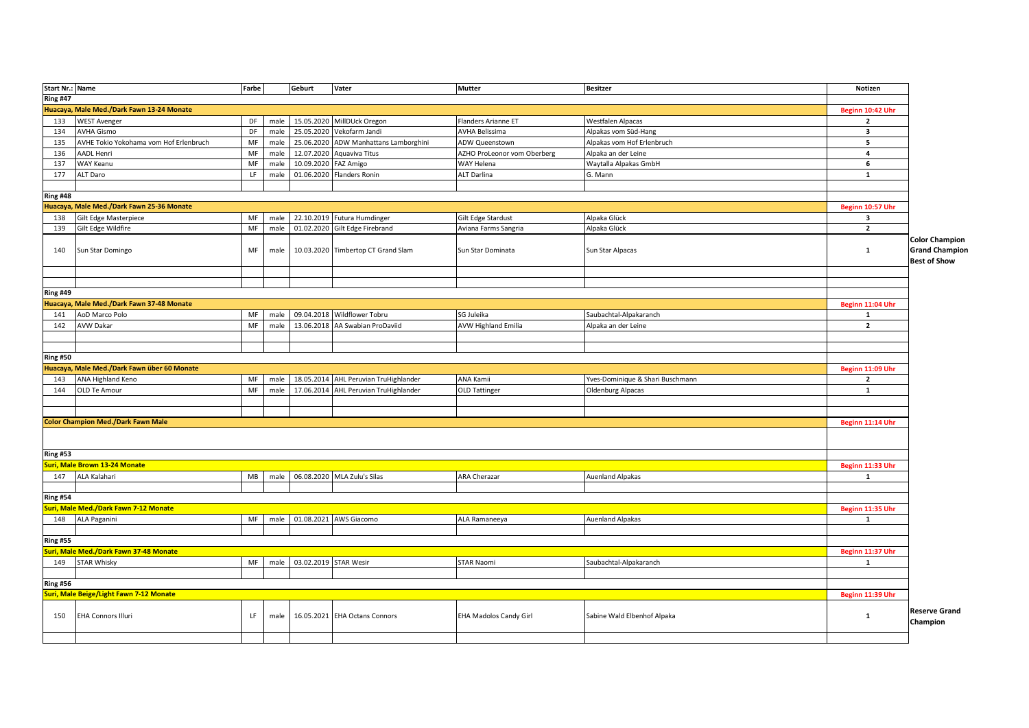| Start Nr.: Name |                                             | Farbe |      | Geburt                     | Vater                              | <b>Mutter</b>                 | <b>Besitzer</b>                  | Notizen                 |                                              |
|-----------------|---------------------------------------------|-------|------|----------------------------|------------------------------------|-------------------------------|----------------------------------|-------------------------|----------------------------------------------|
| <b>Ring #47</b> |                                             |       |      |                            |                                    |                               |                                  |                         |                                              |
|                 | Huacaya, Male Med./Dark Fawn 13-24 Monate   |       |      |                            |                                    |                               |                                  | Beginn 10:42 Uhr        |                                              |
| 133             | <b>WEST Avenger</b>                         | DF    | male | 15.05.2020                 | MillDUck Oregon                    | Flanders Arianne ET           | Westfalen Alpacas                | $\overline{\mathbf{2}}$ |                                              |
| 134             | <b>AVHA Gismo</b>                           | DF    | male | 25.05.2020                 | Vekofarm Jandi                     | <b>AVHA Belissima</b>         | Alpakas vom Süd-Hang             | $\overline{\mathbf{3}}$ |                                              |
| 135             | AVHE Tokio Yokohama vom Hof Erlenbruch      | MF    | male | 25.06.2020                 | ADW Manhattans Lamborghini         | ADW Queenstown                | Alpakas vom Hof Erlenbruch       | 5                       |                                              |
| 136             | AADL Henri                                  | MF    | male | 12.07.2020                 | Aquaviva Titus                     | AZHO ProLeonor vom Oberberg   | Alpaka an der Leine              | $\overline{a}$          |                                              |
| 137             | WAY Keanu                                   | MF    | male | 10.09.2020                 | FAZ Amigo                          | WAY Helena                    | Waytalla Alpakas GmbH            | 6                       |                                              |
| 177             | ALT Daro                                    | LF    | male | 01.06.2020                 | Flanders Ronin                     | <b>ALT Darlina</b>            | G. Mann                          | $\mathbf{1}$            |                                              |
|                 |                                             |       |      |                            |                                    |                               |                                  |                         |                                              |
| Ring #48        |                                             |       |      |                            |                                    |                               |                                  |                         |                                              |
|                 | Huacaya, Male Med./Dark Fawn 25-36 Monate   |       |      |                            |                                    |                               |                                  | Beginn 10:57 Uhr        |                                              |
| 138             | Gilt Edge Masterpiece                       | MF    | male |                            | 22.10.2019 Futura Humdinger        | Gilt Edge Stardust            | Alpaka Glück                     | $\overline{\mathbf{3}}$ |                                              |
| 139             | Gilt Edge Wildfire                          | MF    | male |                            | 01.02.2020 Gilt Edge Firebrand     | Aviana Farms Sangria          | Alpaka Glück                     | $\overline{2}$          |                                              |
|                 |                                             |       |      |                            |                                    |                               |                                  |                         | <b>Color Champion</b>                        |
| 140             | Sun Star Domingo                            | MF    | male |                            | 10.03.2020 Timbertop CT Grand Slam | Sun Star Dominata             | Sun Star Alpacas                 | $\mathbf{1}$            | <b>Grand Champion</b><br><b>Best of Show</b> |
|                 |                                             |       |      |                            |                                    |                               |                                  |                         |                                              |
|                 |                                             |       |      |                            |                                    |                               |                                  |                         |                                              |
| <b>Ring #49</b> |                                             |       |      |                            |                                    |                               |                                  |                         |                                              |
|                 | Huacaya, Male Med./Dark Fawn 37-48 Monate   |       |      |                            |                                    |                               |                                  | Beginn 11:04 Uhr        |                                              |
| 141             | AoD Marco Polo                              | MF    | male | 09.04.2018                 | <b>Wildflower Tobru</b>            | SG Juleika                    | Saubachtal-Alpakaranch           | $\mathbf{1}$            |                                              |
| 142             | <b>AVW Dakar</b>                            | MF    | male | 13.06.2018                 | AA Swabian ProDaviid               | <b>AVW Highland Emilia</b>    | Alpaka an der Leine              | $\overline{2}$          |                                              |
|                 |                                             |       |      |                            |                                    |                               |                                  |                         |                                              |
|                 |                                             |       |      |                            |                                    |                               |                                  |                         |                                              |
|                 |                                             |       |      |                            |                                    |                               |                                  |                         |                                              |
| <b>Ring #50</b> | Huacaya, Male Med./Dark Fawn über 60 Monate |       |      |                            |                                    |                               |                                  |                         |                                              |
|                 |                                             |       |      |                            |                                    |                               |                                  | Beginn 11:09 Uhr        |                                              |
| 143             | ANA Highland Keno                           | MF    | male | 18.05.2014                 | AHL Peruvian TruHighlander         | <b>ANA Kamii</b>              | Yves-Dominique & Shari Buschmann | $\overline{2}$          |                                              |
| 144             | OLD Te Amour                                | MF    | male | 17.06.2014                 | AHL Peruvian TruHighlander         | <b>OLD Tattinger</b>          | Oldenburg Alpacas                | 1                       |                                              |
|                 |                                             |       |      |                            |                                    |                               |                                  |                         |                                              |
|                 |                                             |       |      |                            |                                    |                               |                                  |                         |                                              |
|                 | <b>Color Champion Med./Dark Fawn Male</b>   |       |      |                            |                                    |                               |                                  | Beginn 11:14 Uhr        |                                              |
|                 |                                             |       |      |                            |                                    |                               |                                  |                         |                                              |
| <b>Ring #53</b> |                                             |       |      |                            |                                    |                               |                                  |                         |                                              |
|                 | Suri, Male Brown 13-24 Monate               |       |      |                            |                                    |                               |                                  | Beginn 11:33 Uhr        |                                              |
| 147             | ALA Kalahari                                | MB    | male |                            | 06.08.2020 MLA Zulu's Silas        | <b>ARA Cherazar</b>           | <b>Auenland Alpakas</b>          | 1                       |                                              |
|                 |                                             |       |      |                            |                                    |                               |                                  |                         |                                              |
| Ring #54        |                                             |       |      |                            |                                    |                               |                                  |                         |                                              |
|                 | Suri, Male Med./Dark Fawn 7-12 Monate       |       |      |                            |                                    |                               |                                  | Beginn 11:35 Uhr        |                                              |
| 148             | ALA Paganini                                | MF    | male |                            | 01.08.2021 AWS Giacomo             | ALA Ramaneeya                 | <b>Auenland Alpakas</b>          | 1                       |                                              |
|                 |                                             |       |      |                            |                                    |                               |                                  |                         |                                              |
| <b>Ring #55</b> |                                             |       |      |                            |                                    |                               |                                  |                         |                                              |
|                 | Suri, Male Med./Dark Fawn 37-48 Monate      |       |      |                            |                                    |                               |                                  | Beginn 11:37 Uhr        |                                              |
| 149             | <b>STAR Whisky</b>                          | MF    |      | male 03.02.2019 STAR Wesir |                                    | <b>STAR Naomi</b>             | Saubachtal-Alpakaranch           | 1                       |                                              |
|                 |                                             |       |      |                            |                                    |                               |                                  |                         |                                              |
| <b>Ring #56</b> |                                             |       |      |                            |                                    |                               |                                  |                         |                                              |
|                 | Suri, Male Beige/Light Fawn 7-12 Monate     |       |      |                            |                                    |                               |                                  | Beginn 11:39 Uhr        |                                              |
|                 |                                             |       |      |                            |                                    |                               |                                  |                         | <b>Reserve Grand</b>                         |
| 150             | <b>EHA Connors Illuri</b>                   | LF.   | male |                            | 16.05.2021 EHA Octans Connors      | <b>EHA Madolos Candy Girl</b> | Sabine Wald Elbenhof Alpaka      | $\mathbf{1}$            | Champion                                     |
|                 |                                             |       |      |                            |                                    |                               |                                  |                         |                                              |
|                 |                                             |       |      |                            |                                    |                               |                                  |                         |                                              |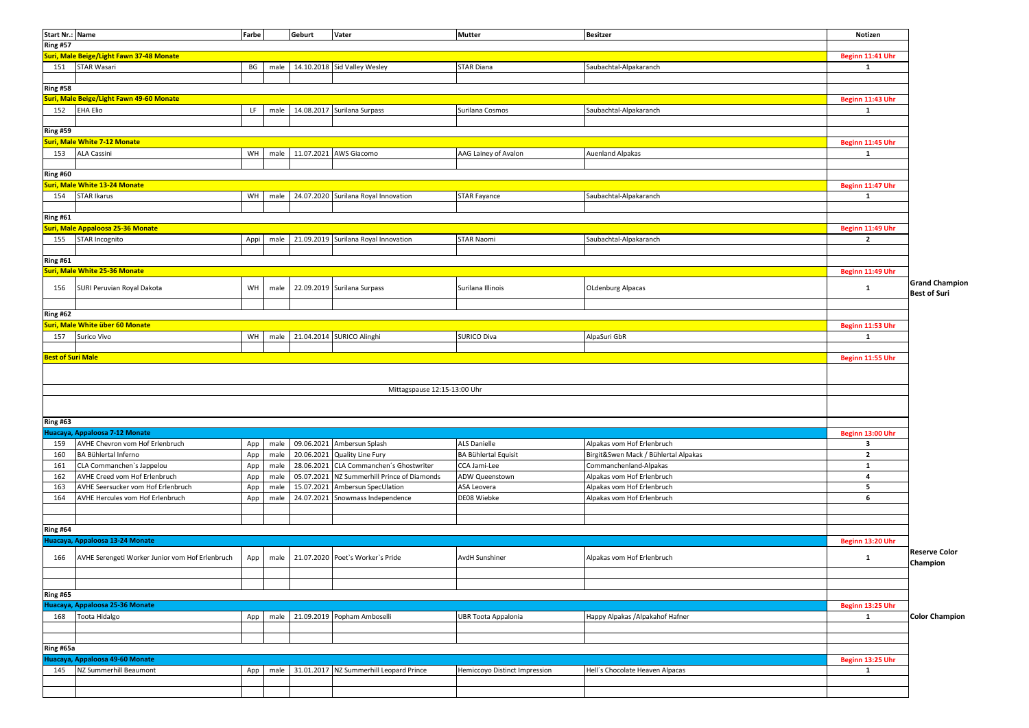| Start Nr.: Name          |                                                 | Farbe     |      | Geburt     | Vater                                   | <b>Mutter</b>                 | <b>Besitzer</b>                      | Notizen          |                       |
|--------------------------|-------------------------------------------------|-----------|------|------------|-----------------------------------------|-------------------------------|--------------------------------------|------------------|-----------------------|
| <b>Ring #57</b>          |                                                 |           |      |            |                                         |                               |                                      |                  |                       |
|                          | Suri, Male Beige/Light Fawn 37-48 Monate        |           |      |            |                                         |                               |                                      | Beginn 11:41 Uhr |                       |
|                          | STAR Wasari                                     |           |      |            |                                         |                               |                                      |                  |                       |
| 151                      |                                                 | BG        | male |            | 14.10.2018 Sid Valley Wesley            | <b>STAR Diana</b>             | Saubachtal-Alpakaranch               | 1                |                       |
|                          |                                                 |           |      |            |                                         |                               |                                      |                  |                       |
| <b>Ring #58</b>          |                                                 |           |      |            |                                         |                               |                                      |                  |                       |
|                          | Suri, Male Beige/Light Fawn 49-60 Monate        |           |      |            |                                         |                               |                                      | Beginn 11:43 Uhr |                       |
| 152                      | <b>EHA Elio</b>                                 | LF.       | male |            | 14.08.2017 Surilana Surpass             | Surilana Cosmos               | Saubachtal-Alpakaranch               | 1                |                       |
|                          |                                                 |           |      |            |                                         |                               |                                      |                  |                       |
| <b>Ring #59</b>          |                                                 |           |      |            |                                         |                               |                                      |                  |                       |
|                          | <b>Suri, Male White 7-12 Monate</b>             |           |      |            |                                         |                               |                                      | Beginn 11:45 Uhr |                       |
| 153                      | <b>ALA Cassini</b>                              | WH        | male |            | 11.07.2021 AWS Giacomo                  | AAG Lainey of Avalon          | <b>Auenland Alpakas</b>              | 1                |                       |
|                          |                                                 |           |      |            |                                         |                               |                                      |                  |                       |
| <b>Ring #60</b>          |                                                 |           |      |            |                                         |                               |                                      |                  |                       |
|                          | <b>Suri, Male White 13-24 Monate</b>            |           |      |            |                                         |                               |                                      | Beginn 11:47 Uhr |                       |
| 154                      | <b>STAR Ikarus</b>                              | WH        | male |            | 24.07.2020 Surilana Royal Innovation    | <b>STAR Fayance</b>           | Saubachtal-Alpakaranch               | $\mathbf{1}$     |                       |
|                          |                                                 |           |      |            |                                         |                               |                                      |                  |                       |
| <b>Ring #61</b>          |                                                 |           |      |            |                                         |                               |                                      |                  |                       |
|                          |                                                 |           |      |            |                                         |                               |                                      |                  |                       |
|                          | Suri, Male Appaloosa 25-36 Monate               |           |      |            |                                         |                               |                                      | Beginn 11:49 Uhr |                       |
| 155                      | STAR Incognito                                  | Appi      | male |            | 21.09.2019 Surilana Royal Innovation    | <b>STAR Naomi</b>             | Saubachtal-Alpakaranch               | $\overline{2}$   |                       |
|                          |                                                 |           |      |            |                                         |                               |                                      |                  |                       |
| <b>Ring #61</b>          |                                                 |           |      |            |                                         |                               |                                      |                  |                       |
|                          | <b>Suri, Male White 25-36 Monate</b>            |           |      |            |                                         |                               |                                      | Beginn 11:49 Uhr |                       |
|                          |                                                 |           |      |            |                                         |                               |                                      |                  | <b>Grand Champion</b> |
| 156                      | SURI Peruvian Royal Dakota                      | WH        | male |            | 22.09.2019 Surilana Surpass             | Surilana Illinois             | <b>OLdenburg Alpacas</b>             | $\mathbf{1}$     | <b>Best of Suri</b>   |
|                          |                                                 |           |      |            |                                         |                               |                                      |                  |                       |
| <b>Ring #62</b>          |                                                 |           |      |            |                                         |                               |                                      |                  |                       |
|                          | Suri, Male White über 60 Monate                 |           |      |            |                                         |                               |                                      | Beginn 11:53 Uhr |                       |
| 157                      | Surico Vivo                                     | <b>WH</b> | male |            | 21.04.2014 SURICO Alinghi               | <b>SURICO Diva</b>            | AlpaSuri GbR                         | $\mathbf{1}$     |                       |
|                          |                                                 |           |      |            |                                         |                               |                                      |                  |                       |
| <b>Best of Suri Male</b> |                                                 |           |      |            |                                         |                               |                                      | Beginn 11:55 Uhr |                       |
|                          |                                                 |           |      |            |                                         |                               |                                      |                  |                       |
|                          |                                                 |           |      |            |                                         |                               |                                      |                  |                       |
|                          |                                                 |           |      |            |                                         |                               |                                      |                  |                       |
|                          |                                                 |           |      |            | Mittagspause 12:15-13:00 Uhr            |                               |                                      |                  |                       |
|                          |                                                 |           |      |            |                                         |                               |                                      |                  |                       |
|                          |                                                 |           |      |            |                                         |                               |                                      |                  |                       |
| <b>Ring #63</b>          |                                                 |           |      |            |                                         |                               |                                      |                  |                       |
|                          | Huacaya, Appaloosa 7-12 Monate                  |           |      |            |                                         |                               |                                      | Beginn 13:00 Uhr |                       |
| 159                      | AVHE Chevron vom Hof Erlenbruch                 | App       | male |            | 09.06.2021 Ambersun Splash              | <b>ALS Danielle</b>           | Alpakas vom Hof Erlenbruch           | 3                |                       |
| 160                      | BA Bühlertal Inferno                            | App       | male |            | 20.06.2021 Quality Line Fury            | BA Bühlertal Equisit          | Birgit&Swen Mack / Bühlertal Alpakas | $\overline{2}$   |                       |
| 161                      | CLA Commanchen's Jappelou                       | App       | male | 28.06.2021 | CLA Commanchen's Ghostwriter            | CCA Jami-Lee                  | Commanchenland-Alpakas               | 1                |                       |
| 162                      | AVHE Creed vom Hof Erlenbruch                   | App       | male | 05.07.2021 | NZ Summerhill Prince of Diamonds        | ADW Queenstown                | Alpakas vom Hof Erlenbruch           | $\overline{a}$   |                       |
| 163                      | AVHE Seersucker vom Hof Erlenbruch              | App       | male | 15.07.2021 | Ambersun SpecUlation                    | ASA Leovera                   | Alpakas vom Hof Erlenbruch           | 5                |                       |
| 164                      | AVHE Hercules vom Hof Erlenbruch                | App       | male |            | 24.07.2021 Snowmass Independence        | DE08 Wiebke                   | Alpakas vom Hof Erlenbruch           | 6                |                       |
|                          |                                                 |           |      |            |                                         |                               |                                      |                  |                       |
|                          |                                                 |           |      |            |                                         |                               |                                      |                  |                       |
|                          |                                                 |           |      |            |                                         |                               |                                      |                  |                       |
| <b>Ring #64</b>          |                                                 |           |      |            |                                         |                               |                                      |                  |                       |
|                          | Huacaya, Appaloosa 13-24 Monate                 |           |      |            |                                         |                               |                                      | Beginn 13:20 Uhr |                       |
| 166                      | AVHE Serengeti Worker Junior vom Hof Erlenbruch | App       | male |            | 21.07.2020 Poet's Worker's Pride        | <b>AvdH Sunshiner</b>         | Alpakas vom Hof Erlenbruch           | $\mathbf{1}$     | <b>Reserve Color</b>  |
|                          |                                                 |           |      |            |                                         |                               |                                      |                  | Champion              |
|                          |                                                 |           |      |            |                                         |                               |                                      |                  |                       |
|                          |                                                 |           |      |            |                                         |                               |                                      |                  |                       |
| <b>Ring #65</b>          |                                                 |           |      |            |                                         |                               |                                      |                  |                       |
|                          | Huacaya, Appaloosa 25-36 Monate                 |           |      |            |                                         |                               |                                      | Beginn 13:25 Uhr |                       |
| 168                      | Toota Hidalgo                                   | App       | male |            | 21.09.2019 Popham Amboselli             | <b>UBR Toota Appalonia</b>    | Happy Alpakas / Alpakahof Hafner     | 1                | <b>Color Champion</b> |
|                          |                                                 |           |      |            |                                         |                               |                                      |                  |                       |
|                          |                                                 |           |      |            |                                         |                               |                                      |                  |                       |
|                          |                                                 |           |      |            |                                         |                               |                                      |                  |                       |
| Ring #65a                |                                                 |           |      |            |                                         |                               |                                      |                  |                       |
|                          | Huacaya, Appaloosa 49-60 Monate                 |           |      |            |                                         |                               |                                      | Beginn 13:25 Uhr |                       |
| 145                      | NZ Summerhill Beaumont                          | App       | male |            | 31.01.2017 NZ Summerhill Leopard Prince | Hemiccoyo Distinct Impression | Hell's Chocolate Heaven Alpacas      | 1                |                       |
|                          |                                                 |           |      |            |                                         |                               |                                      |                  |                       |
|                          |                                                 |           |      |            |                                         |                               |                                      |                  |                       |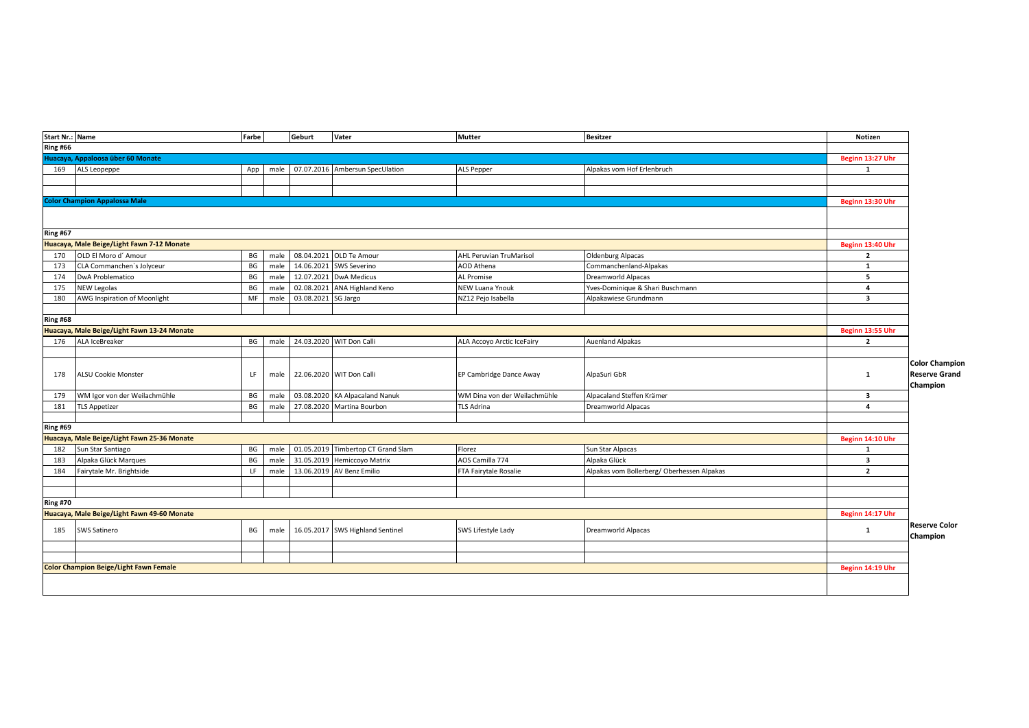| Start Nr.: Name |                                               | Farbe    |              | Geburt              | Vater                              | <b>Mutter</b>                  | <b>Besitzer</b>                            | Notizen                 |                       |
|-----------------|-----------------------------------------------|----------|--------------|---------------------|------------------------------------|--------------------------------|--------------------------------------------|-------------------------|-----------------------|
| Ring #66        |                                               |          |              |                     |                                    |                                |                                            |                         |                       |
|                 | Huacaya, Appaloosa über 60 Monate             |          |              |                     |                                    |                                |                                            | Beginn 13:27 Uhr        |                       |
| 169             | ALS Leopeppe                                  | App      | male         |                     | 07.07.2016 Ambersun SpecUlation    | <b>ALS Pepper</b>              | Alpakas vom Hof Erlenbruch                 | 1                       |                       |
|                 |                                               |          |              |                     |                                    |                                |                                            |                         |                       |
|                 |                                               |          |              |                     |                                    |                                |                                            |                         |                       |
|                 | <b>Color Champion Appalossa Male</b>          |          |              |                     |                                    |                                |                                            | Beginn 13:30 Uhr        |                       |
|                 |                                               |          |              |                     |                                    |                                |                                            |                         |                       |
|                 |                                               |          |              |                     |                                    |                                |                                            |                         |                       |
| Ring #67        |                                               |          |              |                     |                                    |                                |                                            |                         |                       |
|                 | Huacaya, Male Beige/Light Fawn 7-12 Monate    |          |              |                     |                                    |                                |                                            | Beginn 13:40 Uhr        |                       |
| 170             | OLD El Moro d' Amour                          | BG       | male         |                     | 08.04.2021 OLD Te Amour            | <b>AHL Peruvian TruMarisol</b> | <b>Oldenburg Alpacas</b>                   | $\overline{2}$          |                       |
| 173             | CLA Commanchen's Jolyceur                     | BG       | male         |                     | 14.06.2021 SWS Severino            | AOD Athena                     | Commanchenland-Alpakas                     | 1                       |                       |
| 174             | DwA Problematico                              | BG       | male         |                     | 12.07.2021 DwA Medicus             | AL Promise                     | Dreamworld Alpacas                         | 5                       |                       |
| 175             | <b>NEW Legolas</b>                            | BG       | male         |                     | 02.08.2021 ANA Highland Keno       | NEW Luana Ynouk                | Yves-Dominique & Shari Buschmann           | 4                       |                       |
| 180             | AWG Inspiration of Moonlight                  | MF       | male         | 03.08.2021 SG Jargo |                                    | NZ12 Pejo Isabella             | Alpakawiese Grundmann                      | $\overline{\mathbf{3}}$ |                       |
|                 |                                               |          |              |                     |                                    |                                |                                            |                         |                       |
| <b>Ring #68</b> |                                               |          |              |                     |                                    |                                |                                            |                         |                       |
|                 | Huacaya, Male Beige/Light Fawn 13-24 Monate   |          |              |                     |                                    |                                |                                            | Beginn 13:55 Uhr        |                       |
| 176             | ALA IceBreaker                                | BG       | male         |                     | 24.03.2020 WIT Don Calli           | ALA Accoyo Arctic IceFairy     | <b>Auenland Alpakas</b>                    | $\overline{2}$          |                       |
|                 |                                               |          |              |                     |                                    |                                |                                            |                         |                       |
|                 |                                               |          |              |                     |                                    |                                |                                            |                         | <b>Color Champion</b> |
| 178             | ALSU Cookie Monster                           | LF       | male         |                     | 22.06.2020 WIT Don Calli           | EP Cambridge Dance Away        | AlpaSuri GbR                               | 1                       | <b>Reserve Grand</b>  |
|                 |                                               |          |              |                     |                                    |                                |                                            |                         | Champion              |
| 179             | WM Igor von der Weilachmühle                  | BG       | male         |                     | 03.08.2020 KA Alpacaland Nanuk     | WM Dina von der Weilachmühle   | Alpacaland Steffen Krämer                  | 3                       |                       |
| 181             | <b>TLS Appetizer</b>                          | BG       | male         |                     | 27.08.2020 Martina Bourbon         | <b>TLS Adrina</b>              | Dreamworld Alpacas                         | $\overline{4}$          |                       |
| Ring #69        |                                               |          |              |                     |                                    |                                |                                            |                         |                       |
|                 | Huacaya, Male Beige/Light Fawn 25-36 Monate   |          |              |                     |                                    |                                |                                            | Beginn 14:10 Uhr        |                       |
| 182             |                                               | BG       |              |                     | 01.05.2019 Timbertop CT Grand Slam | Florez                         |                                            | 1                       |                       |
|                 | Sun Star Santiago<br>Alpaka Glück Marques     |          | male         |                     | 31.05.2019 Hemiccoyo Matrix        | AOS Camilla 774                | Sun Star Alpacas<br>Alpaka Glück           | $\overline{\mathbf{3}}$ |                       |
| 183<br>184      | Fairytale Mr. Brightside                      | BG<br>LF | male<br>male | 13.06.2019          | <b>AV Benz Emilio</b>              | FTA Fairytale Rosalie          | Alpakas vom Bollerberg/ Oberhessen Alpakas | $\overline{2}$          |                       |
|                 |                                               |          |              |                     |                                    |                                |                                            |                         |                       |
|                 |                                               |          |              |                     |                                    |                                |                                            |                         |                       |
| <b>Ring #70</b> |                                               |          |              |                     |                                    |                                |                                            |                         |                       |
|                 | Huacaya, Male Beige/Light Fawn 49-60 Monate   |          |              |                     |                                    |                                |                                            | Beginn 14:17 Uhr        |                       |
|                 |                                               |          |              |                     |                                    |                                |                                            |                         | <b>Reserve Color</b>  |
| 185             | SWS Satinero                                  | BG       | male         |                     | 16.05.2017 SWS Highland Sentinel   | SWS Lifestyle Lady             | Dreamworld Alpacas                         | 1                       | Champion              |
|                 |                                               |          |              |                     |                                    |                                |                                            |                         |                       |
|                 |                                               |          |              |                     |                                    |                                |                                            |                         |                       |
|                 | <b>Color Champion Beige/Light Fawn Female</b> |          |              |                     |                                    |                                |                                            | Beginn 14:19 Uhr        |                       |
|                 |                                               |          |              |                     |                                    |                                |                                            |                         |                       |
|                 |                                               |          |              |                     |                                    |                                |                                            |                         |                       |
|                 |                                               |          |              |                     |                                    |                                |                                            |                         |                       |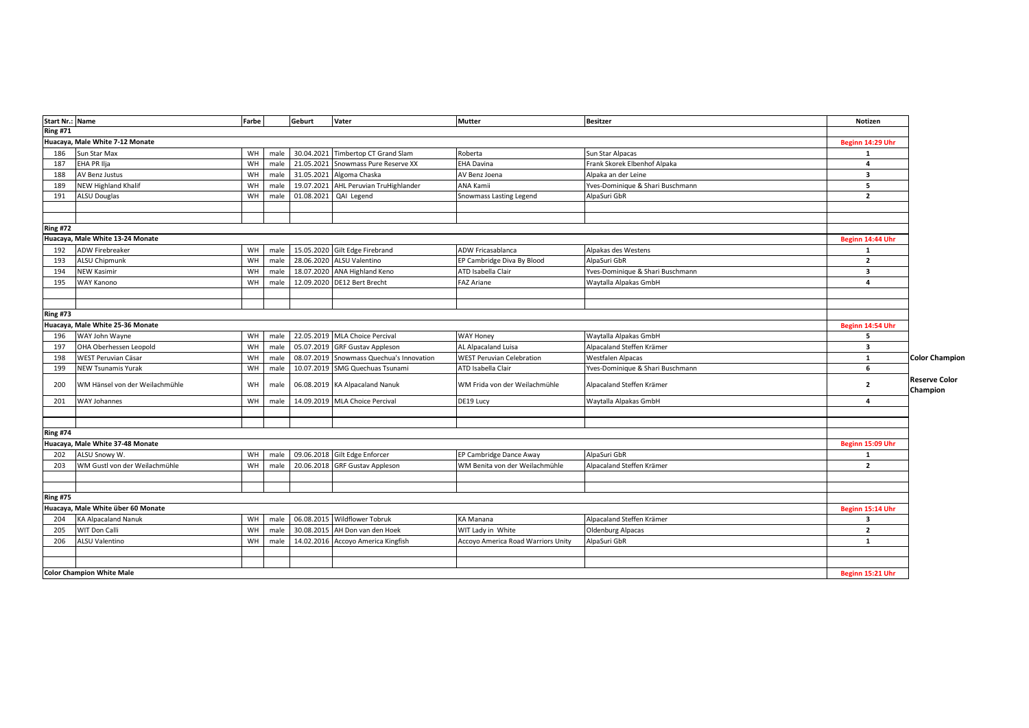| Start Nr.: Name |                                    | Farbe |      | Geburt     | Vater                                    | <b>Mutter</b>                      | <b>Besitzer</b>                  | Notizen                 |                                  |
|-----------------|------------------------------------|-------|------|------------|------------------------------------------|------------------------------------|----------------------------------|-------------------------|----------------------------------|
| <b>Ring #71</b> |                                    |       |      |            |                                          |                                    |                                  |                         |                                  |
|                 | Huacaya, Male White 7-12 Monate    |       |      |            |                                          |                                    |                                  | Beginn 14:29 Uhr        |                                  |
| 186             | Sun Star Max                       | WH    | male |            | 30.04.2021 Timbertop CT Grand Slam       | Roberta                            | Sun Star Alpacas                 | $\mathbf{1}$            |                                  |
| 187             | EHA PR Ilja                        | WH    | male |            | 21.05.2021 Snowmass Pure Reserve XX      | <b>EHA Davina</b>                  | Frank Skorek Elbenhof Alpaka     | $\overline{a}$          |                                  |
| 188             | AV Benz Justus                     | WH    | male |            | 31.05.2021 Algoma Chaska                 | AV Benz Joena                      | Alpaka an der Leine              | 3                       |                                  |
| 189             | NEW Highland Khalif                | WH    | male |            | 19.07.2021 AHL Peruvian TruHighlander    | ANA Kamii                          | Yves-Dominique & Shari Buschmann | 5                       |                                  |
| 191             | <b>ALSU Douglas</b>                | WH    | male | 01.08.2021 | QAI Legend                               | Snowmass Lasting Legend            | AlpaSuri GbR                     | $\mathbf{2}$            |                                  |
|                 |                                    |       |      |            |                                          |                                    |                                  |                         |                                  |
|                 |                                    |       |      |            |                                          |                                    |                                  |                         |                                  |
| <b>Ring #72</b> |                                    |       |      |            |                                          |                                    |                                  |                         |                                  |
|                 | Huacaya, Male White 13-24 Monate   |       |      |            |                                          |                                    |                                  | Beginn 14:44 Uhr        |                                  |
| 192             | <b>ADW Firebreaker</b>             | WH    | male |            | 15.05.2020 Gilt Edge Firebrand           | ADW Fricasablanca                  | Alpakas des Westens              | 1                       |                                  |
| 193             | <b>ALSU Chipmunk</b>               | WH    | male | 28.06.2020 | ALSU Valentino                           | EP Cambridge Diva By Blood         | AlpaSuri GbR                     | $\overline{2}$          |                                  |
| 194             | <b>NEW Kasimir</b>                 | WH    | male | 18.07.2020 | <b>ANA Highland Keno</b>                 | ATD Isabella Clair                 | Yves-Dominique & Shari Buschmann | 3                       |                                  |
| 195             | WAY Kanono                         | WH    | male |            | 12.09.2020 DE12 Bert Brecht              | <b>FAZ Ariane</b>                  | Waytalla Alpakas GmbH            | 4                       |                                  |
|                 |                                    |       |      |            |                                          |                                    |                                  |                         |                                  |
|                 |                                    |       |      |            |                                          |                                    |                                  |                         |                                  |
| <b>Ring #73</b> |                                    |       |      |            |                                          |                                    |                                  |                         |                                  |
|                 | Huacaya, Male White 25-36 Monate   |       |      |            |                                          |                                    |                                  | Beginn 14:54 Uhr        |                                  |
| 196             | WAY John Wayne                     | WH    | male |            | 22.05.2019 MLA Choice Percival           | WAY Honey                          | Waytalla Alpakas GmbH            | 5                       |                                  |
| 197             | OHA Oberhessen Leopold             | WH    | male | 05.07.2019 | <b>GRF Gustav Appleson</b>               | AL Alpacaland Luisa                | Alpacaland Steffen Krämer        | $\overline{\mathbf{3}}$ |                                  |
| 198             | WEST Peruvian Cäsar                | WH    | male |            | 08.07.2019 Snowmass Quechua's Innovation | <b>WEST Peruvian Celebration</b>   | Westfalen Alpacas                | 1                       | <b>Color Champion</b>            |
| 199             | <b>NEW Tsunamis Yurak</b>          | WH    | male |            | 10.07.2019 SMG Quechuas Tsunami          | ATD Isabella Clair                 | Yves-Dominique & Shari Buschmann | 6                       |                                  |
| 200             | WM Hänsel von der Weilachmühle     | WH    | male |            | 06.08.2019 KA Alpacaland Nanuk           | WM Frida von der Weilachmühle      | Alpacaland Steffen Krämer        | $\mathbf{2}$            | <b>Reserve Color</b><br>Champion |
| 201             | WAY Johannes                       | WH    | male |            | 14.09.2019 MLA Choice Percival           | DE19 Lucy                          | Waytalla Alpakas GmbH            | $\mathbf{a}$            |                                  |
|                 |                                    |       |      |            |                                          |                                    |                                  |                         |                                  |
|                 |                                    |       |      |            |                                          |                                    |                                  |                         |                                  |
| <b>Ring #74</b> |                                    |       |      |            |                                          |                                    |                                  |                         |                                  |
|                 | Huacaya, Male White 37-48 Monate   |       |      |            |                                          |                                    |                                  | Beginn 15:09 Uhr        |                                  |
| 202             | ALSU Snowy W.                      | WH    | male |            | 09.06.2018 Gilt Edge Enforcer            | EP Cambridge Dance Away            | AlpaSuri GbR                     | 1                       |                                  |
| 203             | WM Gustl von der Weilachmühle      | WH    | male | 20.06.2018 | <b>GRF Gustav Appleson</b>               | WM Benita von der Weilachmühle     | Alpacaland Steffen Krämer        | $\overline{2}$          |                                  |
|                 |                                    |       |      |            |                                          |                                    |                                  |                         |                                  |
|                 |                                    |       |      |            |                                          |                                    |                                  |                         |                                  |
| <b>Ring #75</b> |                                    |       |      |            |                                          |                                    |                                  |                         |                                  |
|                 | Huacaya, Male White über 60 Monate |       |      |            |                                          |                                    |                                  | Beginn 15:14 Uhr        |                                  |
| 204             | <b>KA Alpacaland Nanuk</b>         | WH    | male |            | 06.08.2015 Wildflower Tobruk             | KA Manana                          | Alpacaland Steffen Krämer        | $\overline{\mathbf{3}}$ |                                  |
| 205             | WIT Don Calli                      | WH    | male | 30.08.2015 | AH Don van den Hoek                      | WIT Lady in White                  | Oldenburg Alpacas                | $\overline{2}$          |                                  |
| 206             | ALSU Valentino                     | WH    | male | 14.02.2016 | Accoyo America Kingfish                  | Accoyo America Road Warriors Unity | AlpaSuri GbR                     | 1                       |                                  |
|                 |                                    |       |      |            |                                          |                                    |                                  |                         |                                  |
|                 |                                    |       |      |            |                                          |                                    |                                  |                         |                                  |
|                 | <b>Color Champion White Male</b>   |       |      |            |                                          |                                    |                                  | Beginn 15:21 Uhr        |                                  |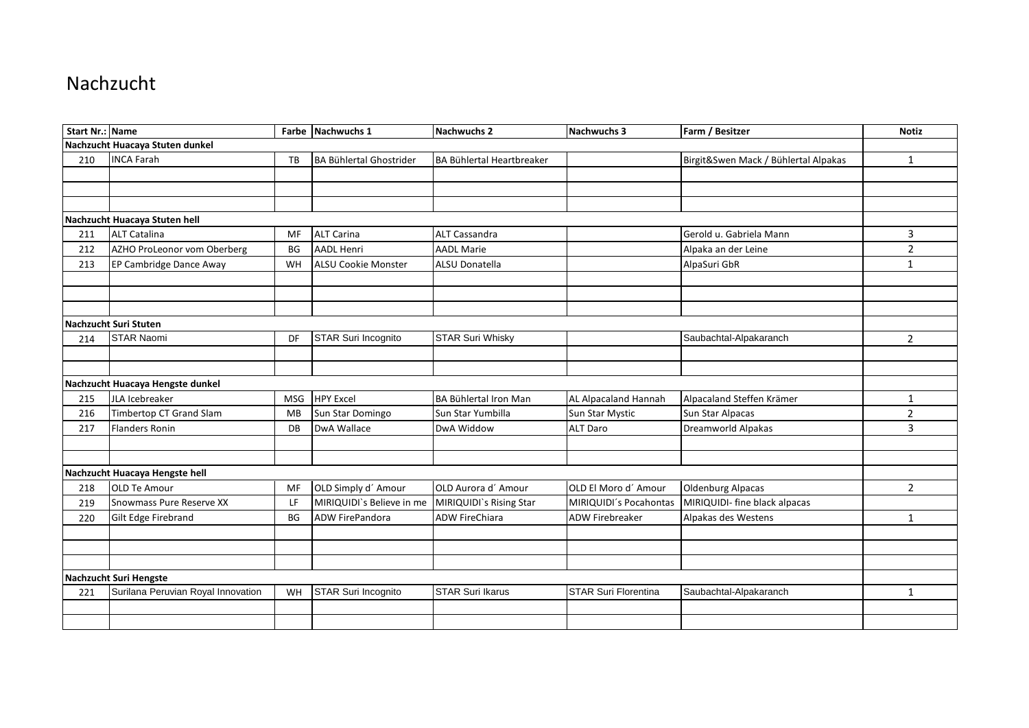## Nachzucht

| <b>Start Nr.: Name</b> |                                    |            | Farbe Nachwuchs 1              | <b>Nachwuchs 2</b>        | Nachwuchs 3            | Farm / Besitzer                      | <b>Notiz</b>   |
|------------------------|------------------------------------|------------|--------------------------------|---------------------------|------------------------|--------------------------------------|----------------|
|                        | Nachzucht Huacaya Stuten dunkel    |            |                                |                           |                        |                                      |                |
| 210                    | <b>INCA Farah</b>                  | TB         | <b>BA Bühlertal Ghostrider</b> | BA Bühlertal Heartbreaker |                        | Birgit&Swen Mack / Bühlertal Alpakas | 1              |
|                        |                                    |            |                                |                           |                        |                                      |                |
|                        |                                    |            |                                |                           |                        |                                      |                |
|                        |                                    |            |                                |                           |                        |                                      |                |
|                        | Nachzucht Huacaya Stuten hell      |            |                                |                           |                        |                                      |                |
| 211                    | <b>ALT Catalina</b>                | MF         | <b>ALT Carina</b>              | ALT Cassandra             |                        | Gerold u. Gabriela Mann              | 3              |
| 212                    | AZHO ProLeonor vom Oberberg        | <b>BG</b>  | <b>AADL Henri</b>              | <b>AADL Marie</b>         |                        | Alpaka an der Leine                  | $\overline{2}$ |
| 213                    | EP Cambridge Dance Away            | WH         | ALSU Cookie Monster            | ALSU Donatella            |                        | AlpaSuri GbR                         | $\mathbf{1}$   |
|                        |                                    |            |                                |                           |                        |                                      |                |
|                        |                                    |            |                                |                           |                        |                                      |                |
|                        |                                    |            |                                |                           |                        |                                      |                |
|                        | Nachzucht Suri Stuten              |            |                                |                           |                        |                                      |                |
| 214                    | <b>STAR Naomi</b>                  | DF         | STAR Suri Incognito            | <b>STAR Suri Whisky</b>   |                        | Saubachtal-Alpakaranch               | 2              |
|                        |                                    |            |                                |                           |                        |                                      |                |
|                        |                                    |            |                                |                           |                        |                                      |                |
|                        | Nachzucht Huacaya Hengste dunkel   |            |                                |                           |                        |                                      |                |
| 215                    | JLA Icebreaker                     | <b>MSG</b> | <b>HPY Excel</b>               | BA Bühlertal Iron Man     | AL Alpacaland Hannah   | Alpacaland Steffen Krämer            | 1              |
| 216                    | Timbertop CT Grand Slam            | MB         | Sun Star Domingo               | Sun Star Yumbilla         | Sun Star Mystic        | Sun Star Alpacas                     | $\overline{2}$ |
| 217                    | <b>Flanders Ronin</b>              | DB         | DwA Wallace                    | DwA Widdow                | <b>ALT Daro</b>        | Dreamworld Alpakas                   | 3              |
|                        |                                    |            |                                |                           |                        |                                      |                |
|                        |                                    |            |                                |                           |                        |                                      |                |
|                        | Nachzucht Huacaya Hengste hell     |            |                                |                           |                        |                                      |                |
| 218                    | <b>OLD Te Amour</b>                | MF         | OLD Simply d' Amour            | OLD Aurora d'Amour        | OLD El Moro d' Amour   | <b>Oldenburg Alpacas</b>             | $\overline{2}$ |
| 219                    | Snowmass Pure Reserve XX           | LF         | MIRIQUIDI`s Believe in me      | MIRIQUIDI's Rising Star   | MIRIQUIDI's Pocahontas | MIRIQUIDI- fine black alpacas        |                |
| 220                    | Gilt Edge Firebrand                | <b>BG</b>  | <b>ADW FirePandora</b>         | <b>ADW FireChiara</b>     | <b>ADW Firebreaker</b> | Alpakas des Westens                  | $\mathbf{1}$   |
|                        |                                    |            |                                |                           |                        |                                      |                |
|                        |                                    |            |                                |                           |                        |                                      |                |
|                        |                                    |            |                                |                           |                        |                                      |                |
|                        | Nachzucht Suri Hengste             |            |                                |                           |                        |                                      |                |
| 221                    | Surilana Peruvian Royal Innovation | WH         | STAR Suri Incognito            | <b>STAR Suri Ikarus</b>   | STAR Suri Florentina   | Saubachtal-Alpakaranch               | $\mathbf{1}$   |
|                        |                                    |            |                                |                           |                        |                                      |                |
|                        |                                    |            |                                |                           |                        |                                      |                |